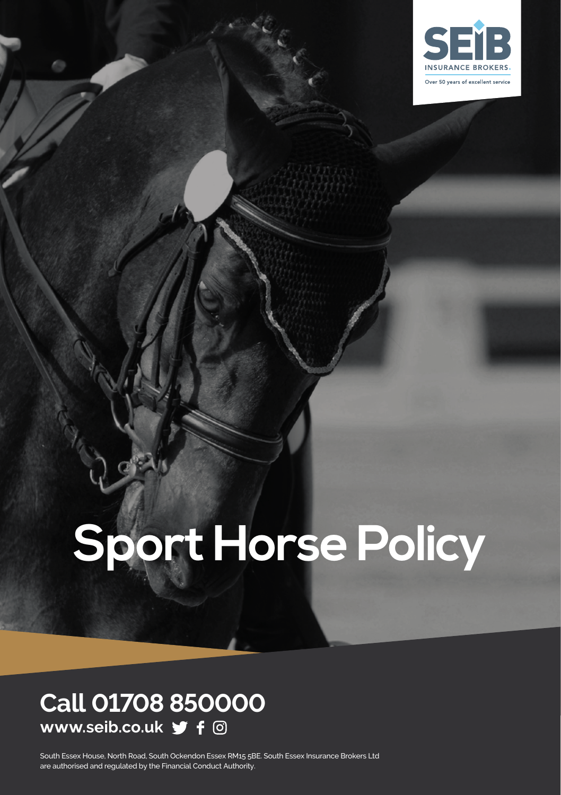

# **Sport Horse Policy**

### **Call 01708 850000 www.seib.co.uk**

South Essex House, North Road, South Ockendon Essex RM15 5BE. South Essex Insurance Brokers Ltd are authorised and regulated by the Financial Conduct Authority.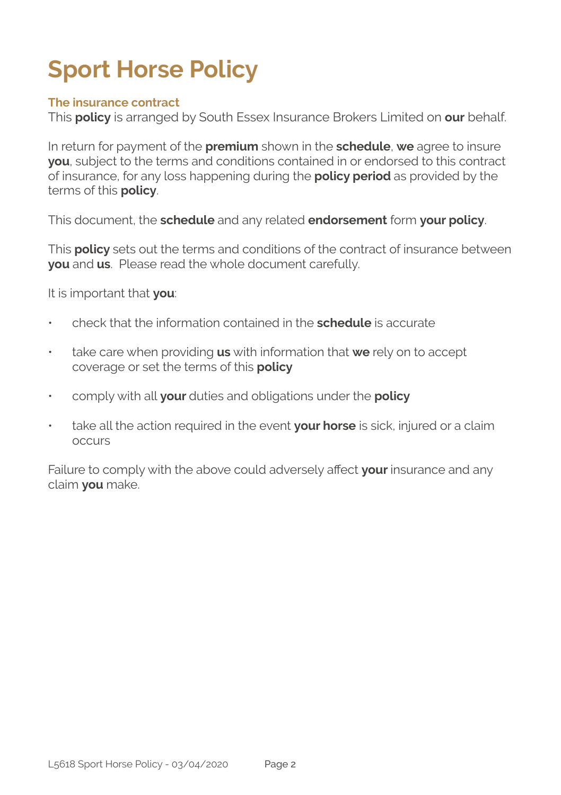# **Sport Horse Policy**

#### **The insurance contract**

This **policy** is arranged by South Essex Insurance Brokers Limited on **our** behalf.

In return for payment of the **premium** shown in the **schedule**, **we** agree to insure **you**, subject to the terms and conditions contained in or endorsed to this contract of insurance, for any loss happening during the **policy period** as provided by the terms of this **policy**.

This document, the **schedule** and any related **endorsement** form **your policy**.

This **policy** sets out the terms and conditions of the contract of insurance between **you** and **us**. Please read the whole document carefully.

It is important that **you**:

- check that the information contained in the **schedule** is accurate
- take care when providing **us** with information that **we** rely on to accept coverage or set the terms of this **policy**
- comply with all **your** duties and obligations under the **policy**
- take all the action required in the event **your horse** is sick, injured or a claim occurs

Failure to comply with the above could adversely affect **your** insurance and any claim **you** make.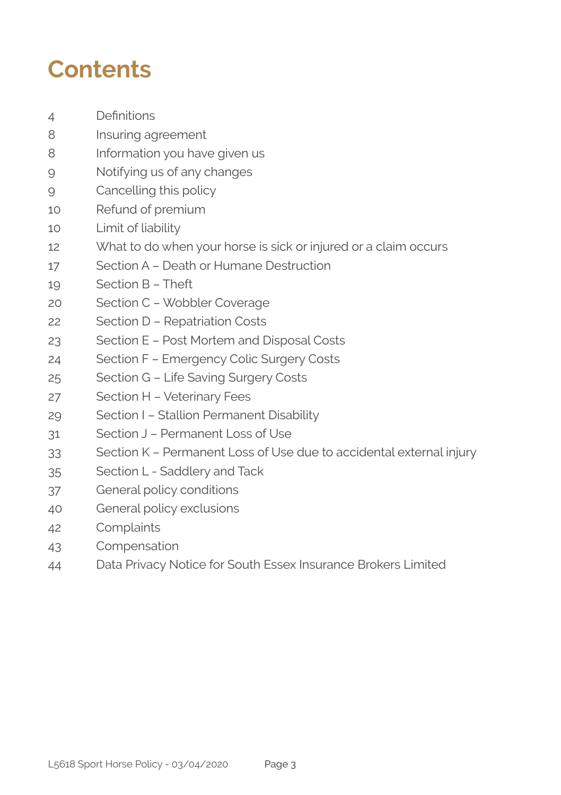## **Contents**

- Definitions
- Insuring agreement
- 8 Information you have given us
- Notifying us of any changes
- Cancelling this policy
- Refund of premium
- Limit of liability
- What to do when your horse is sick or injured or a claim occurs
- Section A Death or Humane Destruction
- Section B Theft
- Section C Wobbler Coverage
- Section D Repatriation Costs
- Section E Post Mortem and Disposal Costs
- Section F Emergency Colic Surgery Costs
- Section G Life Saving Surgery Costs
- Section H Veterinary Fees
- Section I Stallion Permanent Disability
- Section J Permanent Loss of Use
- Section K Permanent Loss of Use due to accidental external injury
- Section L Saddlery and Tack
- General policy conditions
- General policy exclusions
- Complaints
- Compensation
- Data Privacy Notice for South Essex Insurance Brokers Limited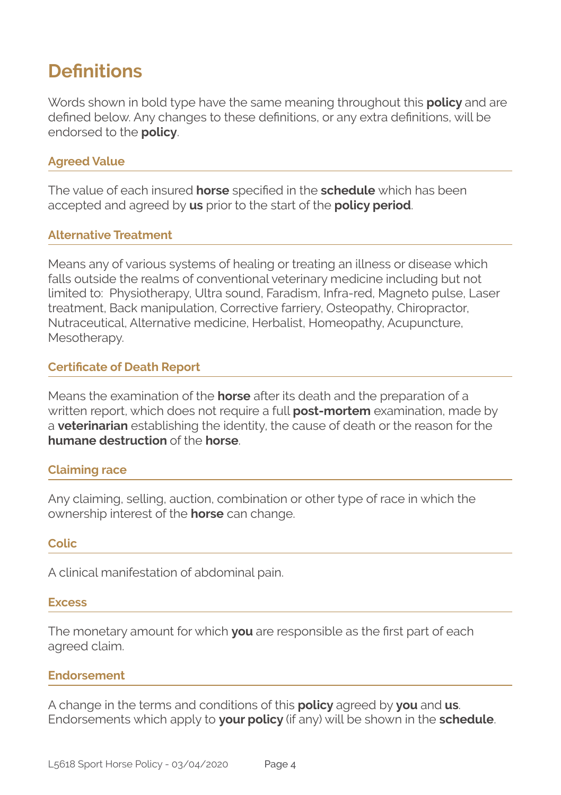### **Definitions**

Words shown in bold type have the same meaning throughout this **policy** and are defined below. Any changes to these definitions, or any extra definitions, will be endorsed to the **policy**.

#### **Agreed Value**

The value of each insured **horse** specified in the **schedule** which has been accepted and agreed by **us** prior to the start of the **policy period**.

#### **Alternative Treatment**

Means any of various systems of healing or treating an illness or disease which falls outside the realms of conventional veterinary medicine including but not limited to: Physiotherapy, Ultra sound, Faradism, Infra-red, Magneto pulse, Laser treatment, Back manipulation, Corrective farriery, Osteopathy, Chiropractor, Nutraceutical, Alternative medicine, Herbalist, Homeopathy, Acupuncture, Mesotherapy.

#### **Certificate of Death Report**

Means the examination of the **horse** after its death and the preparation of a written report, which does not require a full **post-mortem** examination, made by a **veterinarian** establishing the identity, the cause of death or the reason for the **humane destruction** of the **horse**.

#### **Claiming race**

Any claiming, selling, auction, combination or other type of race in which the ownership interest of the **horse** can change.

#### **Colic**

A clinical manifestation of abdominal pain.

#### **Excess**

The monetary amount for which **you** are responsible as the first part of each agreed claim.

#### **Endorsement**

A change in the terms and conditions of this **policy** agreed by **you** and **us**. Endorsements which apply to **your policy** (if any) will be shown in the **schedule**.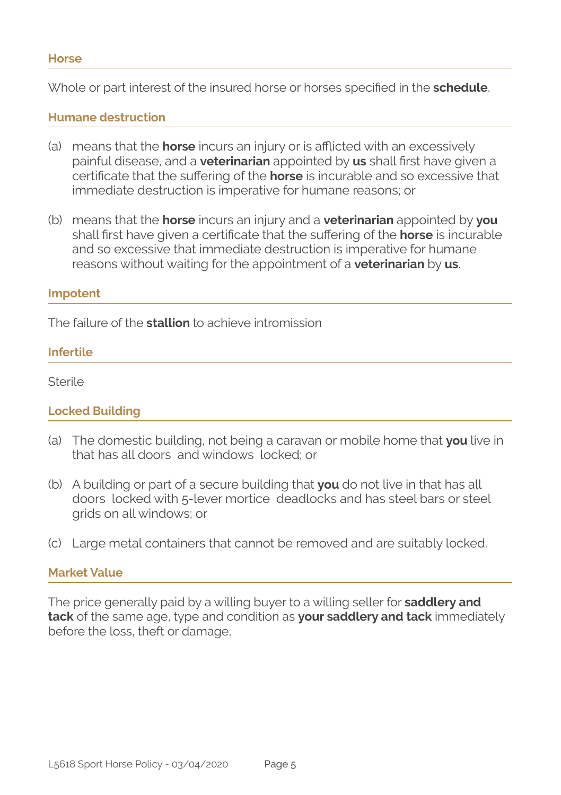Whole or part interest of the insured horse or horses specified in the **schedule**.

#### **Humane destruction**

- (a) means that the **horse** incurs an injury or is afflicted with an excessively painful disease, and a **veterinarian** appointed by **us** shall first have given a certificate that the suffering of the **horse** is incurable and so excessive that immediate destruction is imperative for humane reasons; or
- (b) means that the **horse** incurs an injury and a **veterinarian** appointed by **you**  shall first have given a certificate that the suffering of the **horse** is incurable and so excessive that immediate destruction is imperative for humane reasons without waiting for the appointment of a **veterinarian** by **us**.

#### **Impotent**

The failure of the **stallion** to achieve intromission

#### **Infertile**

Sterile

#### **Locked Building**

- (a) The domestic building, not being a caravan or mobile home that **you** live in that has all doors and windows locked; or
- (b) A building or part of a secure building that **you** do not live in that has all doors locked with 5-lever mortice deadlocks and has steel bars or steel grids on all windows; or
- (c) Large metal containers that cannot be removed and are suitably locked.

#### **Market Value**

The price generally paid by a willing buyer to a willing seller for **saddlery and tack** of the same age, type and condition as **your saddlery and tack** immediately before the loss, theft or damage,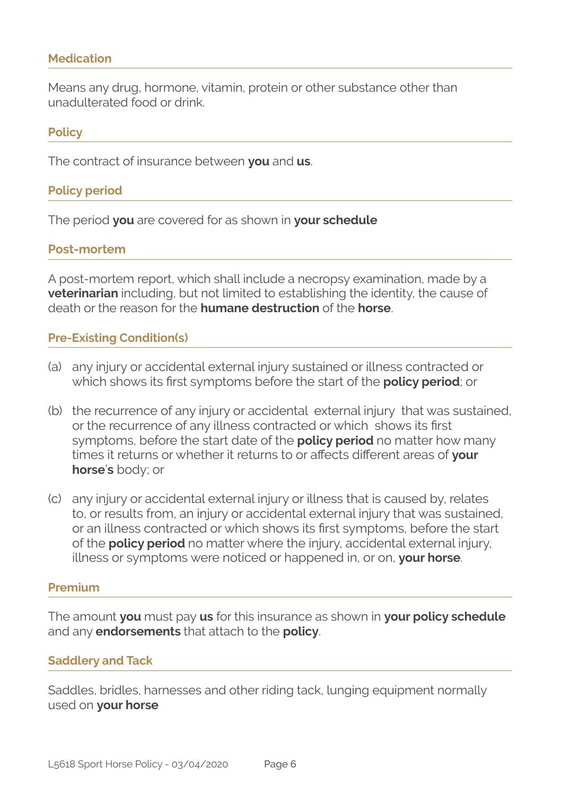#### **Medication**

Means any drug, hormone, vitamin, protein or other substance other than unadulterated food or drink.

#### **Policy**

The contract of insurance between **you** and **us**.

#### **Policy period**

The period **you** are covered for as shown in **your schedule**

#### **Post-mortem**

A post-mortem report, which shall include a necropsy examination, made by a **veterinarian** including, but not limited to establishing the identity, the cause of death or the reason for the **humane destruction** of the **horse**.

#### **Pre-Existing Condition(s)**

- (a) any injury or accidental external injury sustained or illness contracted or which shows its first symptoms before the start of the **policy period**; or
- (b) the recurrence of any injury or accidental external injury that was sustained, or the recurrence of any illness contracted or which shows its first symptoms, before the start date of the **policy period** no matter how many times it returns or whether it returns to or affects different areas of **your horse**'**s** body; or
- (c) any injury or accidental external injury or illness that is caused by, relates to, or results from, an injury or accidental external injury that was sustained, or an illness contracted or which shows its first symptoms, before the start of the **policy period** no matter where the injury, accidental external injury, illness or symptoms were noticed or happened in, or on, **your horse**.

#### **Premium**

The amount **you** must pay **us** for this insurance as shown in **your policy schedule**  and any **endorsements** that attach to the **policy**.

#### **Saddlery and Tack**

Saddles, bridles, harnesses and other riding tack, lunging equipment normally used on **your horse**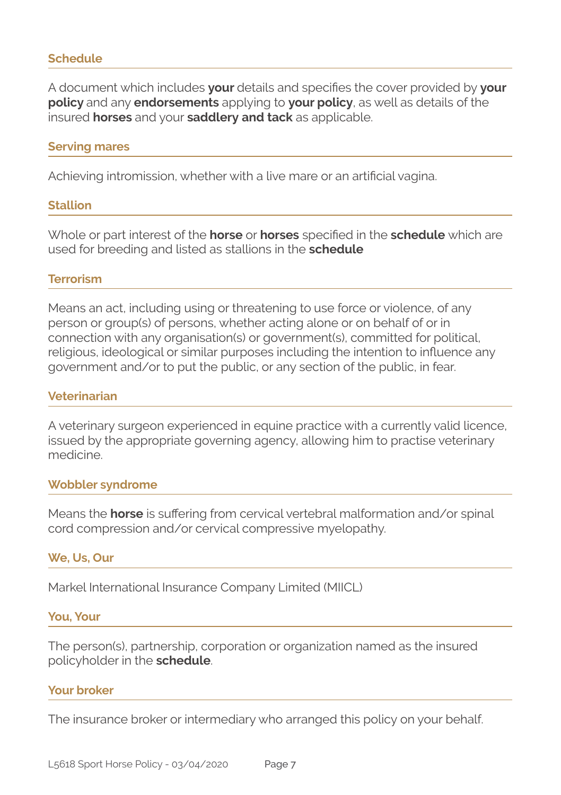#### **Schedule**

A document which includes **your** details and specifies the cover provided by **your policy** and any **endorsements** applying to **your policy**, as well as details of the insured **horses** and your **saddlery and tack** as applicable.

#### **Serving mares**

Achieving intromission, whether with a live mare or an artificial vagina.

#### **Stallion**

Whole or part interest of the **horse** or **horses** specified in the **schedule** which are used for breeding and listed as stallions in the **schedule**

#### **Terrorism**

Means an act, including using or threatening to use force or violence, of any person or group(s) of persons, whether acting alone or on behalf of or in connection with any organisation(s) or government(s), committed for political, religious, ideological or similar purposes including the intention to influence any government and/or to put the public, or any section of the public, in fear.

#### **Veterinarian**

A veterinary surgeon experienced in equine practice with a currently valid licence, issued by the appropriate governing agency, allowing him to practise veterinary medicine.

#### **Wobbler syndrome**

Means the **horse** is suffering from cervical vertebral malformation and/or spinal cord compression and/or cervical compressive myelopathy.

#### **We, Us, Our**

Markel International Insurance Company Limited (MIICL)

#### **You, Your**

The person(s), partnership, corporation or organization named as the insured policyholder in the **schedule**.

#### **Your broker**

The insurance broker or intermediary who arranged this policy on your behalf.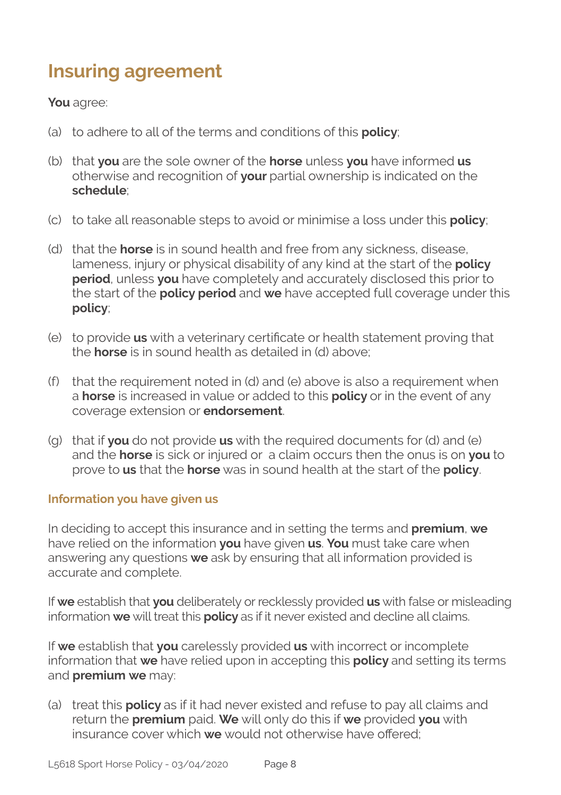### **Insuring agreement**

#### **You** agree:

- (a) to adhere to all of the terms and conditions of this **policy**;
- (b) that **you** are the sole owner of the **horse** unless **you** have informed **us** otherwise and recognition of **your** partial ownership is indicated on the **schedule**;
- (c) to take all reasonable steps to avoid or minimise a loss under this **policy**;
- (d) that the **horse** is in sound health and free from any sickness, disease, lameness, injury or physical disability of any kind at the start of the **policy period**, unless **you** have completely and accurately disclosed this prior to the start of the **policy period** and **we** have accepted full coverage under this **policy**;
- (e) to provide **us** with a veterinary certificate or health statement proving that the **horse** is in sound health as detailed in (d) above;
- (f) that the requirement noted in (d) and (e) above is also a requirement when a **horse** is increased in value or added to this **policy** or in the event of any coverage extension or **endorsement**.
- (g) that if **you** do not provide **us** with the required documents for (d) and (e) and the **horse** is sick or injured or a claim occurs then the onus is on **you** to prove to **us** that the **horse** was in sound health at the start of the **policy**.

#### **Information you have given us**

In deciding to accept this insurance and in setting the terms and **premium**, **we**  have relied on the information **you** have given **us**. **You** must take care when answering any questions **we** ask by ensuring that all information provided is accurate and complete.

If **we** establish that **you** deliberately or recklessly provided **us** with false or misleading information **we** will treat this **policy** as if it never existed and decline all claims.

If **we** establish that **you** carelessly provided **us** with incorrect or incomplete information that **we** have relied upon in accepting this **policy** and setting its terms and **premium we** may:

(a) treat this **policy** as if it had never existed and refuse to pay all claims and return the **premium** paid. **We** will only do this if **we** provided **you** with insurance cover which **we** would not otherwise have offered;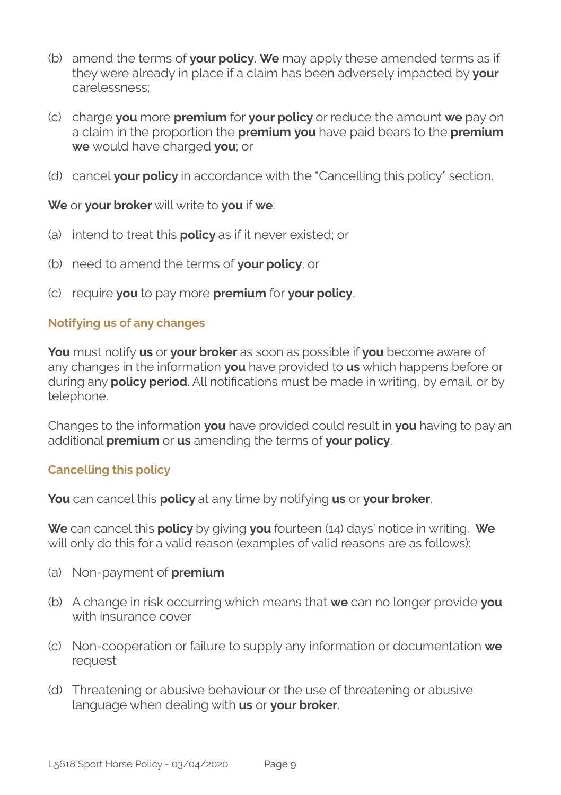- (b) amend the terms of **your policy**. **We** may apply these amended terms as if they were already in place if a claim has been adversely impacted by **your**  carelessness;
- (c) charge **you** more **premium** for **your policy** or reduce the amount **we** pay on a claim in the proportion the **premium you** have paid bears to the **premium we** would have charged **you**; or
- (d) cancel **your policy** in accordance with the "Cancelling this policy" section.

**We** or **your broker** will write to **you** if **we**:

- (a) intend to treat this **policy** as if it never existed; or
- (b) need to amend the terms of **your policy**; or
- (c) require **you** to pay more **premium** for **your policy**.

#### **Notifying us of any changes**

**You** must notify **us** or **your broker** as soon as possible if **you** become aware of any changes in the information **you** have provided to **us** which happens before or during any **policy period**. All notifications must be made in writing, by email, or by telephone.

Changes to the information **you** have provided could result in **you** having to pay an additional **premium** or **us** amending the terms of **your policy**.

#### **Cancelling this policy**

**You** can cancel this **policy** at any time by notifying **us** or **your broker**.

**We** can cancel this **policy** by giving **you** fourteen (14) days' notice in writing. **We**  will only do this for a valid reason (examples of valid reasons are as follows):

- (a) Non-payment of **premium**
- (b) A change in risk occurring which means that **we** can no longer provide **you**  with insurance cover
- (c) Non-cooperation or failure to supply any information or documentation **we**  request
- (d) Threatening or abusive behaviour or the use of threatening or abusive language when dealing with **us** or **your broker**.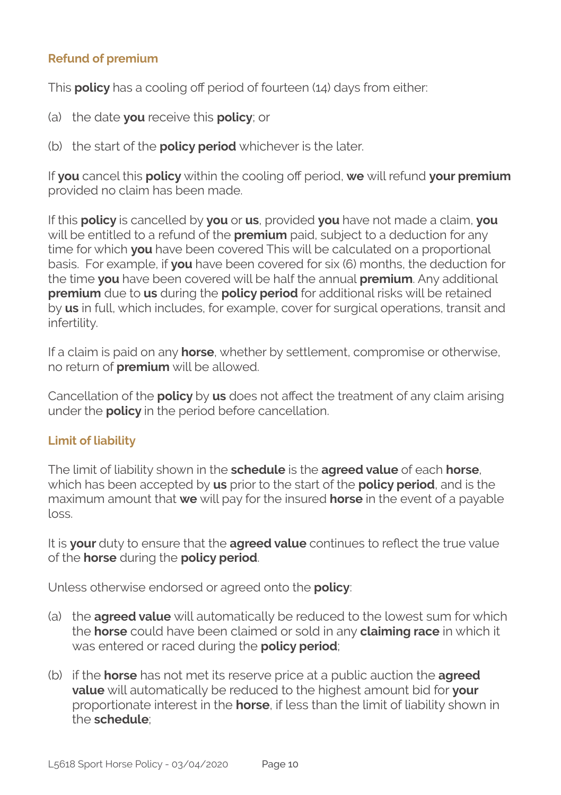#### **Refund of premium**

This **policy** has a cooling off period of fourteen (14) days from either:

- (a) the date **you** receive this **policy**; or
- (b) the start of the **policy period** whichever is the later.

If **you** cancel this **policy** within the cooling off period, **we** will refund **your premium** provided no claim has been made.

If this **policy** is cancelled by **you** or **us**, provided **you** have not made a claim, **you**  will be entitled to a refund of the **premium** paid, subject to a deduction for any time for which **you** have been covered This will be calculated on a proportional basis. For example, if **you** have been covered for six (6) months, the deduction for the time **you** have been covered will be half the annual **premium**. Any additional **premium** due to **us** during the **policy period** for additional risks will be retained by **us** in full, which includes, for example, cover for surgical operations, transit and infertility.

If a claim is paid on any **horse**, whether by settlement, compromise or otherwise, no return of **premium** will be allowed.

Cancellation of the **policy** by **us** does not affect the treatment of any claim arising under the **policy** in the period before cancellation.

#### **Limit of liability**

The limit of liability shown in the **schedule** is the **agreed value** of each **horse**, which has been accepted by **us** prior to the start of the **policy period**, and is the maximum amount that **we** will pay for the insured **horse** in the event of a payable loss.

It is **your** duty to ensure that the **agreed value** continues to reflect the true value of the **horse** during the **policy period**.

Unless otherwise endorsed or agreed onto the **policy**:

- (a) the **agreed value** will automatically be reduced to the lowest sum for which the **horse** could have been claimed or sold in any **claiming race** in which it was entered or raced during the **policy period**;
- (b) if the **horse** has not met its reserve price at a public auction the **agreed value** will automatically be reduced to the highest amount bid for **your**  proportionate interest in the **horse**, if less than the limit of liability shown in the **schedule**;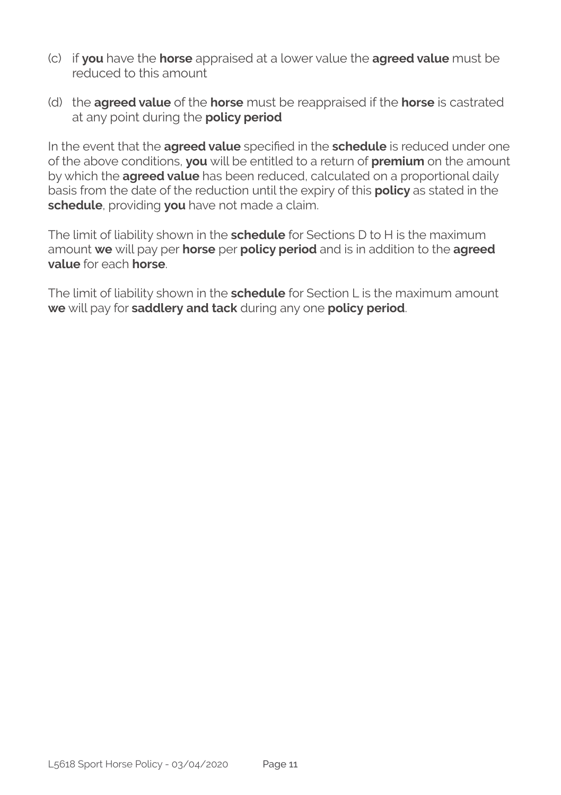- (c) if **you** have the **horse** appraised at a lower value the **agreed value** must be reduced to this amount
- (d) the **agreed value** of the **horse** must be reappraised if the **horse** is castrated at any point during the **policy period**

In the event that the **agreed value** specified in the **schedule** is reduced under one of the above conditions, **you** will be entitled to a return of **premium** on the amount by which the **agreed value** has been reduced, calculated on a proportional daily basis from the date of the reduction until the expiry of this **policy** as stated in the **schedule**, providing **you** have not made a claim.

The limit of liability shown in the **schedule** for Sections D to H is the maximum amount **we** will pay per **horse** per **policy period** and is in addition to the **agreed value** for each **horse**.

The limit of liability shown in the **schedule** for Section L is the maximum amount **we** will pay for **saddlery and tack** during any one **policy period**.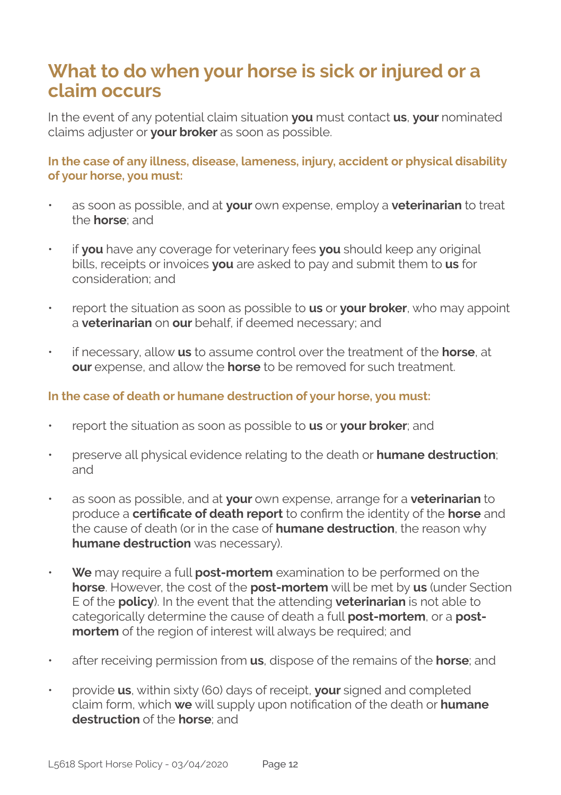### **What to do when your horse is sick or injured or a claim occurs**

In the event of any potential claim situation **you** must contact **us**, **your** nominated claims adjuster or **your broker** as soon as possible.

**In the case of any illness, disease, lameness, injury, accident or physical disability of your horse, you must:**

- as soon as possible, and at **your** own expense, employ a **veterinarian** to treat the **horse**; and
- if **you** have any coverage for veterinary fees **you** should keep any original bills, receipts or invoices **you** are asked to pay and submit them to **us** for consideration; and
- report the situation as soon as possible to **us** or **your broker**, who may appoint a **veterinarian** on **our** behalf, if deemed necessary; and
- if necessary, allow **us** to assume control over the treatment of the **horse**, at **our** expense, and allow the **horse** to be removed for such treatment.

#### **In the case of death or humane destruction of your horse, you must:**

- report the situation as soon as possible to **us** or **your broker**; and
- preserve all physical evidence relating to the death or **humane destruction**; and
- as soon as possible, and at **your** own expense, arrange for a **veterinarian** to produce a **certificate of death report** to confirm the identity of the **horse** and the cause of death (or in the case of **humane destruction**, the reason why **humane destruction** was necessary).
- **We** may require a full **post-mortem** examination to be performed on the **horse**. However, the cost of the **post-mortem** will be met by **us** (under Section E of the **policy**). In the event that the attending **veterinarian** is not able to categorically determine the cause of death a full **post-mortem**, or a **postmortem** of the region of interest will always be required; and
- after receiving permission from **us**, dispose of the remains of the **horse**; and
- provide **us**, within sixty (60) days of receipt, **your** signed and completed claim form, which **we** will supply upon notification of the death or **humane destruction** of the **horse**; and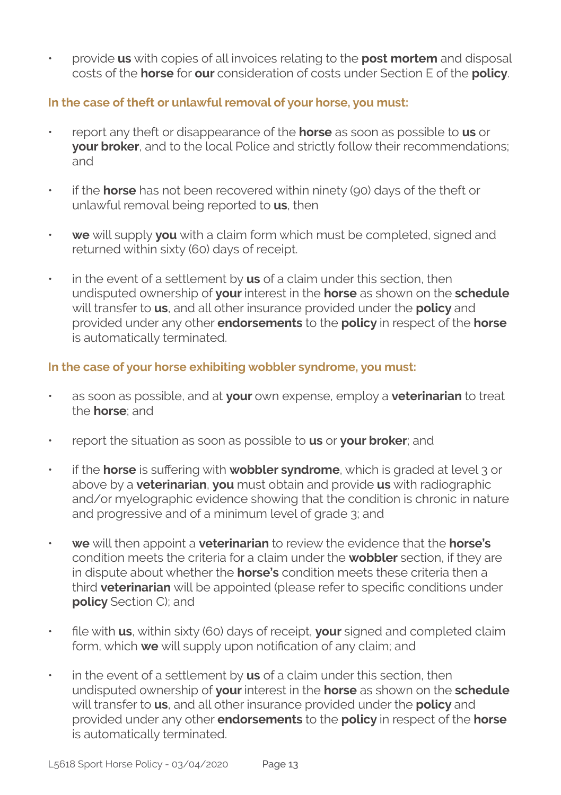• provide **us** with copies of all invoices relating to the **post mortem** and disposal costs of the **horse** for **our** consideration of costs under Section E of the **policy**.

#### **In the case of theft or unlawful removal of your horse, you must:**

- report any theft or disappearance of the **horse** as soon as possible to **us** or **your broker**, and to the local Police and strictly follow their recommendations; and
- if the **horse** has not been recovered within ninety (90) days of the theft or unlawful removal being reported to **us**, then
- **we** will supply **you** with a claim form which must be completed, signed and returned within sixty (60) days of receipt.
- in the event of a settlement by **us** of a claim under this section, then undisputed ownership of **your** interest in the **horse** as shown on the **schedule**  will transfer to **us**, and all other insurance provided under the **policy** and provided under any other **endorsements** to the **policy** in respect of the **horse** is automatically terminated.

#### **In the case of your horse exhibiting wobbler syndrome, you must:**

- as soon as possible, and at **your** own expense, employ a **veterinarian** to treat the **horse**; and
- report the situation as soon as possible to **us** or **your broker**; and
- if the **horse** is suffering with **wobbler syndrome**, which is graded at level 3 or above by a **veterinarian**, **you** must obtain and provide **us** with radiographic and/or myelographic evidence showing that the condition is chronic in nature and progressive and of a minimum level of grade 3; and
- **we** will then appoint a **veterinarian** to review the evidence that the **horse's** condition meets the criteria for a claim under the **wobbler** section, if they are in dispute about whether the **horse's** condition meets these criteria then a third **veterinarian** will be appointed (please refer to specific conditions under **policy** Section C); and
- file with **us**, within sixty (60) days of receipt, **your** signed and completed claim form, which **we** will supply upon notification of any claim; and
- in the event of a settlement by **us** of a claim under this section, then undisputed ownership of **your** interest in the **horse** as shown on the **schedule**  will transfer to **us**, and all other insurance provided under the **policy** and provided under any other **endorsements** to the **policy** in respect of the **horse** is automatically terminated.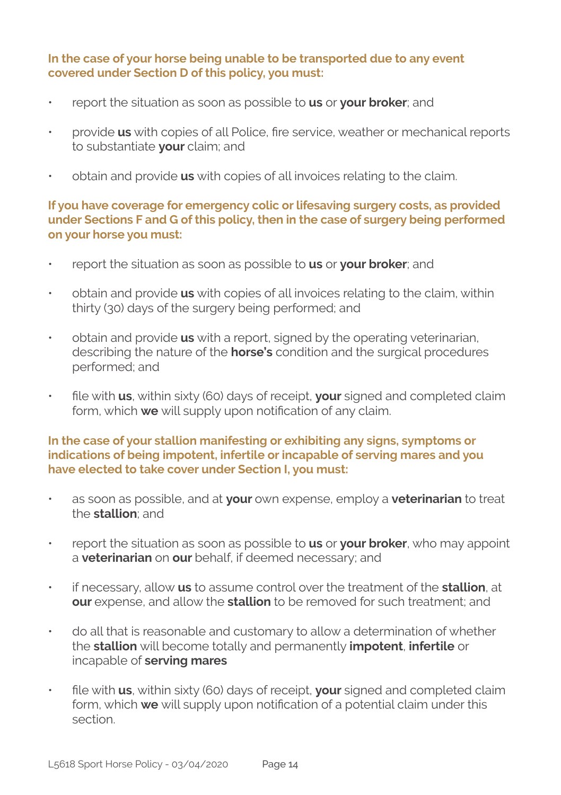#### **In the case of your horse being unable to be transported due to any event covered under Section D of this policy, you must:**

- report the situation as soon as possible to **us** or **your broker**; and
- provide **us** with copies of all Police, fire service, weather or mechanical reports to substantiate **your** claim; and
- obtain and provide **us** with copies of all invoices relating to the claim.

#### **If you have coverage for emergency colic or lifesaving surgery costs, as provided under Sections F and G of this policy, then in the case of surgery being performed on your horse you must:**

- report the situation as soon as possible to **us** or **your broker**; and
- obtain and provide **us** with copies of all invoices relating to the claim, within thirty (30) days of the surgery being performed; and
- obtain and provide **us** with a report, signed by the operating veterinarian, describing the nature of the **horse's** condition and the surgical procedures performed; and
- file with **us**, within sixty (60) days of receipt, **your** signed and completed claim form, which **we** will supply upon notification of any claim.

#### **In the case of your stallion manifesting or exhibiting any signs, symptoms or indications of being impotent, infertile or incapable of serving mares and you have elected to take cover under Section I, you must:**

- as soon as possible, and at **your** own expense, employ a **veterinarian** to treat the **stallion**; and
- report the situation as soon as possible to **us** or **your broker**, who may appoint a **veterinarian** on **our** behalf, if deemed necessary; and
- if necessary, allow **us** to assume control over the treatment of the **stallion**, at **our** expense, and allow the **stallion** to be removed for such treatment; and
- do all that is reasonable and customary to allow a determination of whether the **stallion** will become totally and permanently **impotent**, **infertile** or incapable of **serving mares**
- file with **us**, within sixty (60) days of receipt, **your** signed and completed claim form, which **we** will supply upon notification of a potential claim under this section.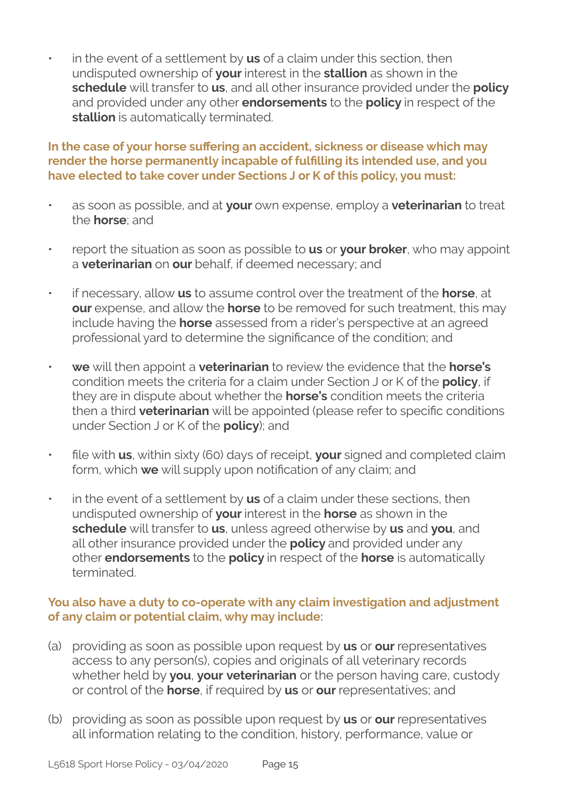• in the event of a settlement by **us** of a claim under this section, then undisputed ownership of **your** interest in the **stallion** as shown in the **schedule** will transfer to **us**, and all other insurance provided under the **policy**  and provided under any other **endorsements** to the **policy** in respect of the **stallion** is automatically terminated.

#### **In the case of your horse suffering an accident, sickness or disease which may render the horse permanently incapable of fulfilling its intended use, and you have elected to take cover under Sections J or K of this policy, you must:**

- as soon as possible, and at **your** own expense, employ a **veterinarian** to treat the **horse**; and
- report the situation as soon as possible to **us** or **your broker**, who may appoint a **veterinarian** on **our** behalf, if deemed necessary; and
- if necessary, allow **us** to assume control over the treatment of the **horse**, at **our** expense, and allow the **horse** to be removed for such treatment, this may include having the **horse** assessed from a rider's perspective at an agreed professional yard to determine the significance of the condition; and
- **we** will then appoint a **veterinarian** to review the evidence that the **horse's** condition meets the criteria for a claim under Section J or K of the **policy**, if they are in dispute about whether the **horse's** condition meets the criteria then a third **veterinarian** will be appointed (please refer to specific conditions under Section J or K of the **policy**); and
- file with **us**, within sixty (60) days of receipt, **your** signed and completed claim form, which **we** will supply upon notification of any claim; and
- in the event of a settlement by **us** of a claim under these sections, then undisputed ownership of **your** interest in the **horse** as shown in the **schedule** will transfer to **us**, unless agreed otherwise by **us** and **you**, and all other insurance provided under the **policy** and provided under any other **endorsements** to the **policy** in respect of the **horse** is automatically terminated.

#### **You also have a duty to co-operate with any claim investigation and adjustment of any claim or potential claim, why may include:**

- (a) providing as soon as possible upon request by **us** or **our** representatives access to any person(s), copies and originals of all veterinary records whether held by **you**, **your veterinarian** or the person having care, custody or control of the **horse**, if required by **us** or **our** representatives; and
- (b) providing as soon as possible upon request by **us** or **our** representatives all information relating to the condition, history, performance, value or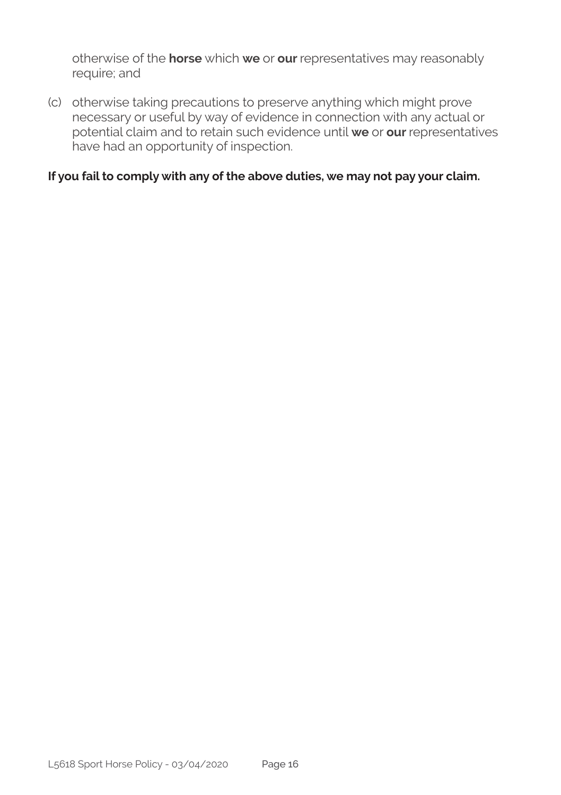otherwise of the **horse** which **we** or **our** representatives may reasonably require; and

(c) otherwise taking precautions to preserve anything which might prove necessary or useful by way of evidence in connection with any actual or potential claim and to retain such evidence until **we** or **our** representatives have had an opportunity of inspection.

#### **If you fail to comply with any of the above duties, we may not pay your claim.**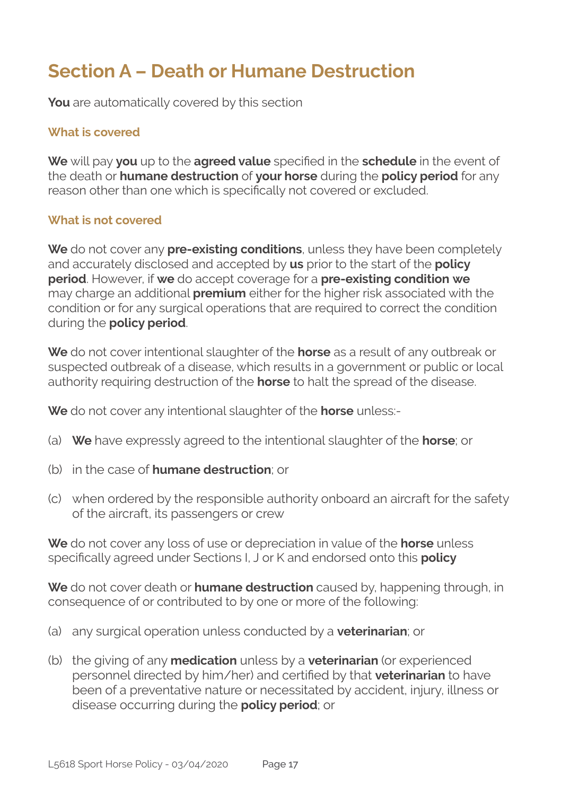### **Section A – Death or Humane Destruction**

**You** are automatically covered by this section

#### **What is covered**

**We** will pay **you** up to the **agreed value** specified in the **schedule** in the event of the death or **humane destruction** of **your horse** during the **policy period** for any reason other than one which is specifically not covered or excluded.

#### **What is not covered**

**We** do not cover any **pre-existing conditions**, unless they have been completely and accurately disclosed and accepted by **us** prior to the start of the **policy period**. However, if **we** do accept coverage for a **pre-existing condition we**  may charge an additional **premium** either for the higher risk associated with the condition or for any surgical operations that are required to correct the condition during the **policy period**.

**We** do not cover intentional slaughter of the **horse** as a result of any outbreak or suspected outbreak of a disease, which results in a government or public or local authority requiring destruction of the **horse** to halt the spread of the disease.

**We** do not cover any intentional slaughter of the **horse** unless:-

- (a) **We** have expressly agreed to the intentional slaughter of the **horse**; or
- (b) in the case of **humane destruction**; or
- (c) when ordered by the responsible authority onboard an aircraft for the safety of the aircraft, its passengers or crew

**We** do not cover any loss of use or depreciation in value of the **horse** unless specifically agreed under Sections I, J or K and endorsed onto this **policy**

**We** do not cover death or **humane destruction** caused by, happening through, in consequence of or contributed to by one or more of the following:

- (a) any surgical operation unless conducted by a **veterinarian**; or
- (b) the giving of any **medication** unless by a **veterinarian** (or experienced personnel directed by him/her) and certified by that **veterinarian** to have been of a preventative nature or necessitated by accident, injury, illness or disease occurring during the **policy period**; or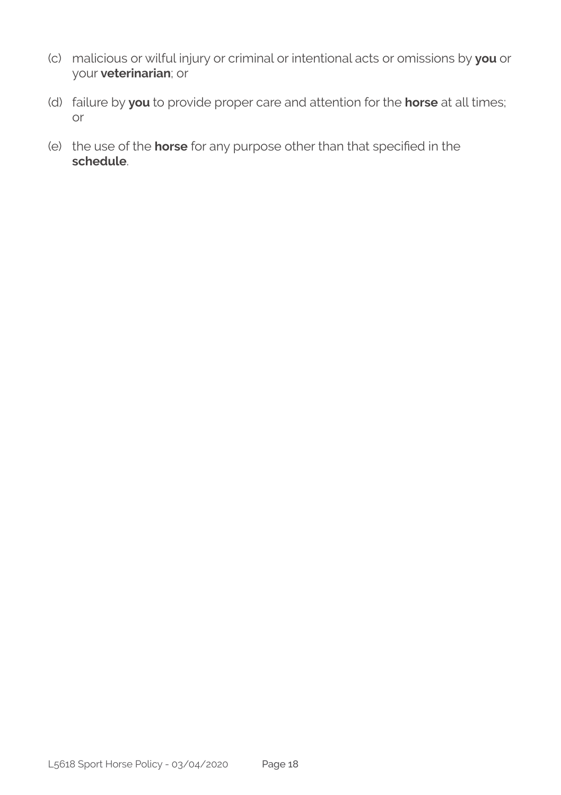- (c) malicious or wilful injury or criminal or intentional acts or omissions by **you** or your **veterinarian**; or
- (d) failure by **you** to provide proper care and attention for the **horse** at all times; or
- (e) the use of the **horse** for any purpose other than that specified in the **schedule**.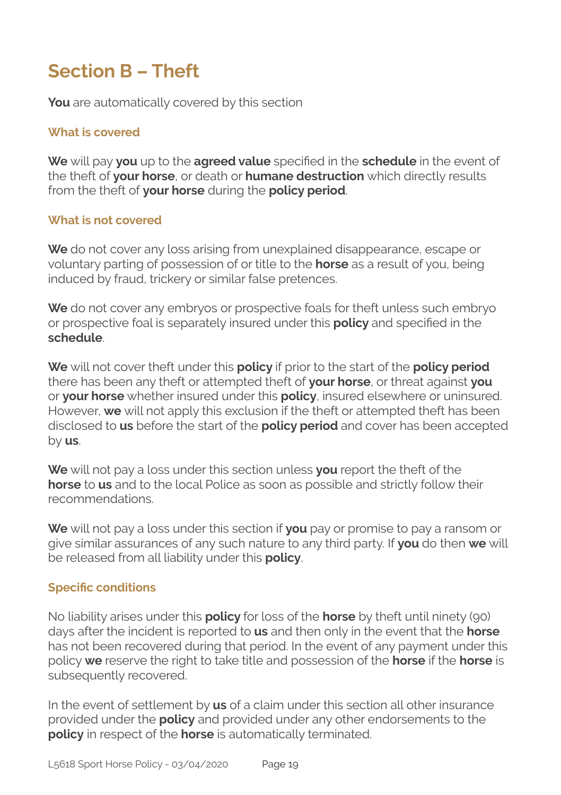### **Section B – Theft**

**You** are automatically covered by this section

#### **What is covered**

**We** will pay **you** up to the **agreed value** specified in the **schedule** in the event of the theft of **your horse**, or death or **humane destruction** which directly results from the theft of **your horse** during the **policy period**.

#### **What is not covered**

**We** do not cover any loss arising from unexplained disappearance, escape or voluntary parting of possession of or title to the **horse** as a result of you, being induced by fraud, trickery or similar false pretences.

**We** do not cover any embryos or prospective foals for theft unless such embryo or prospective foal is separately insured under this **policy** and specified in the **schedule**.

**We** will not cover theft under this **policy** if prior to the start of the **policy period**  there has been any theft or attempted theft of **your horse**, or threat against **you**  or **your horse** whether insured under this **policy**, insured elsewhere or uninsured. However, **we** will not apply this exclusion if the theft or attempted theft has been disclosed to **us** before the start of the **policy period** and cover has been accepted by **us**.

**We** will not pay a loss under this section unless **you** report the theft of the **horse** to **us** and to the local Police as soon as possible and strictly follow their recommendations.

**We** will not pay a loss under this section if **you** pay or promise to pay a ransom or give similar assurances of any such nature to any third party. If **you** do then **we** will be released from all liability under this **policy**.

#### **Specific conditions**

No liability arises under this **policy** for loss of the **horse** by theft until ninety (90) days after the incident is reported to **us** and then only in the event that the **horse** has not been recovered during that period. In the event of any payment under this policy **we** reserve the right to take title and possession of the **horse** if the **horse** is subsequently recovered.

In the event of settlement by **us** of a claim under this section all other insurance provided under the **policy** and provided under any other endorsements to the **policy** in respect of the **horse** is automatically terminated.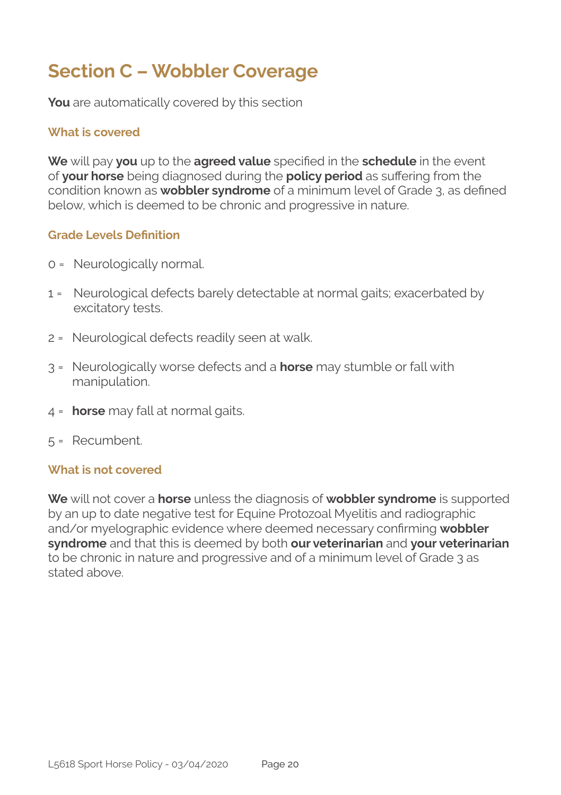### **Section C – Wobbler Coverage**

**You** are automatically covered by this section

#### **What is covered**

**We** will pay **you** up to the **agreed value** specified in the **schedule** in the event of **your horse** being diagnosed during the **policy period** as suffering from the condition known as **wobbler syndrome** of a minimum level of Grade 3, as defined below, which is deemed to be chronic and progressive in nature.

#### **Grade Levels Definition**

- 0 = Neurologically normal.
- 1 = Neurological defects barely detectable at normal gaits; exacerbated by excitatory tests.
- 2 = Neurological defects readily seen at walk.
- 3 = Neurologically worse defects and a **horse** may stumble or fall with manipulation.
- 4 = **horse** may fall at normal gaits.
- 5 = Recumbent.

#### **What is not covered**

**We** will not cover a **horse** unless the diagnosis of **wobbler syndrome** is supported by an up to date negative test for Equine Protozoal Myelitis and radiographic and/or myelographic evidence where deemed necessary confirming **wobbler syndrome** and that this is deemed by both **our veterinarian** and **your veterinarian**  to be chronic in nature and progressive and of a minimum level of Grade 3 as stated above.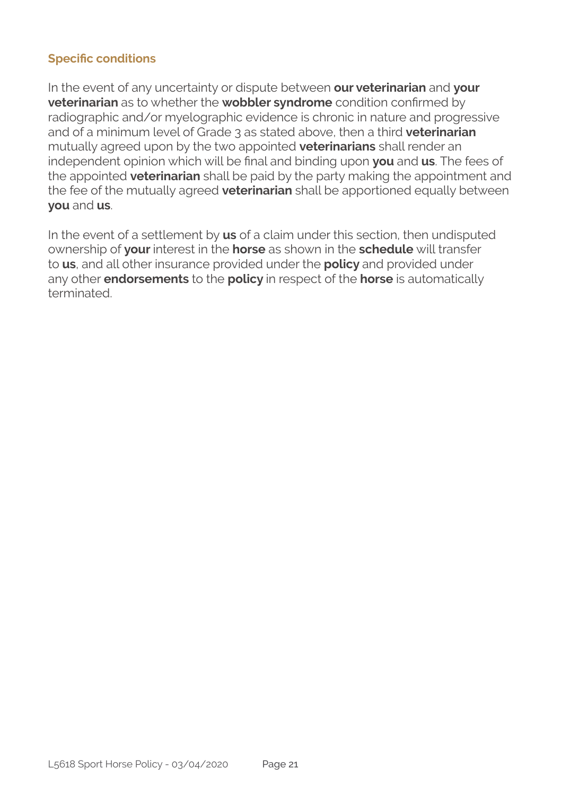#### **Specific conditions**

In the event of any uncertainty or dispute between **our veterinarian** and **your veterinarian** as to whether the **wobbler syndrome** condition confirmed by radiographic and/or myelographic evidence is chronic in nature and progressive and of a minimum level of Grade 3 as stated above, then a third **veterinarian**  mutually agreed upon by the two appointed **veterinarians** shall render an independent opinion which will be final and binding upon **you** and **us**. The fees of the appointed **veterinarian** shall be paid by the party making the appointment and the fee of the mutually agreed **veterinarian** shall be apportioned equally between **you** and **us**.

In the event of a settlement by **us** of a claim under this section, then undisputed ownership of **your** interest in the **horse** as shown in the **schedule** will transfer to **us**, and all other insurance provided under the **policy** and provided under any other **endorsements** to the **policy** in respect of the **horse** is automatically terminated.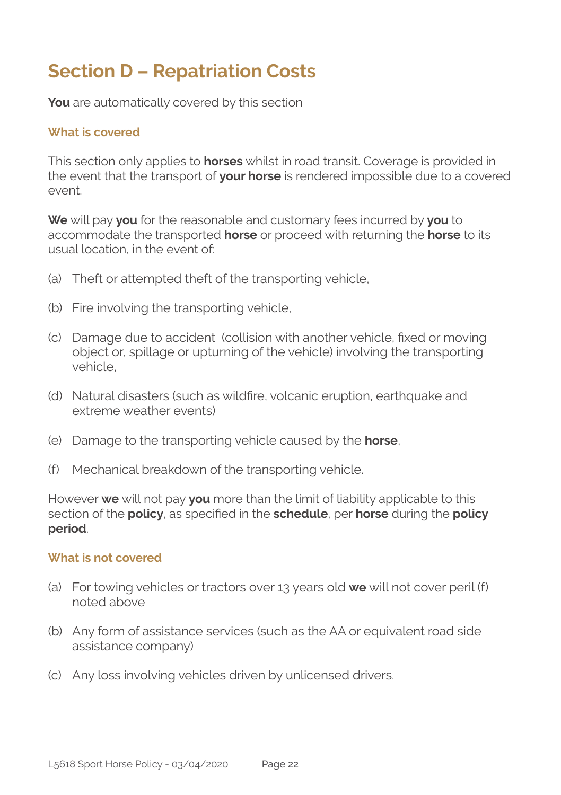### **Section D – Repatriation Costs**

**You** are automatically covered by this section

#### **What is covered**

This section only applies to **horses** whilst in road transit. Coverage is provided in the event that the transport of **your horse** is rendered impossible due to a covered event.

**We** will pay **you** for the reasonable and customary fees incurred by **you** to accommodate the transported **horse** or proceed with returning the **horse** to its usual location, in the event of:

- (a) Theft or attempted theft of the transporting vehicle,
- (b) Fire involving the transporting vehicle,
- (c) Damage due to accident (collision with another vehicle, fixed or moving object or, spillage or upturning of the vehicle) involving the transporting vehicle,
- (d) Natural disasters (such as wildfire, volcanic eruption, earthquake and extreme weather events)
- (e) Damage to the transporting vehicle caused by the **horse**,
- (f) Mechanical breakdown of the transporting vehicle.

However **we** will not pay **you** more than the limit of liability applicable to this section of the **policy**, as specified in the **schedule**, per **horse** during the **policy period**.

#### **What is not covered**

- (a) For towing vehicles or tractors over 13 years old **we** will not cover peril (f) noted above
- (b) Any form of assistance services (such as the AA or equivalent road side assistance company)
- (c) Any loss involving vehicles driven by unlicensed drivers.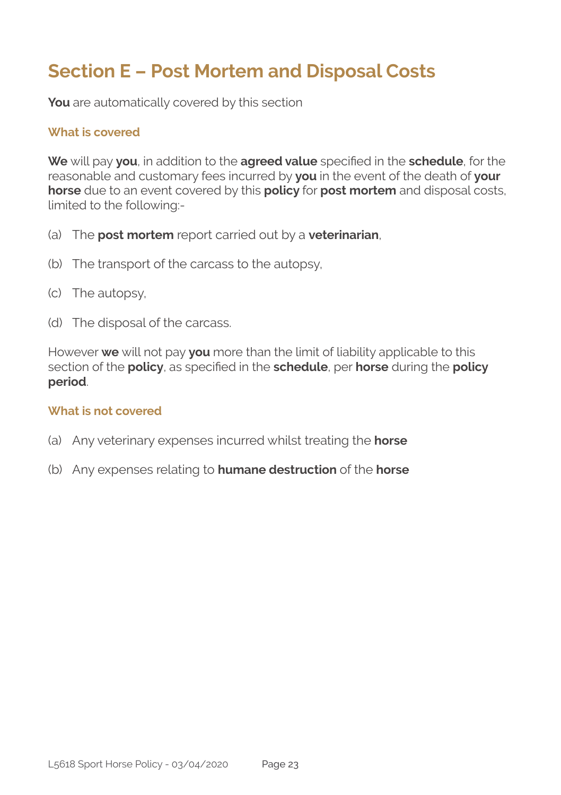### **Section E – Post Mortem and Disposal Costs**

**You** are automatically covered by this section

#### **What is covered**

**We** will pay **you**, in addition to the **agreed value** specified in the **schedule**, for the reasonable and customary fees incurred by **you** in the event of the death of **your horse** due to an event covered by this **policy** for **post mortem** and disposal costs, limited to the following:-

- (a) The **post mortem** report carried out by a **veterinarian**,
- (b) The transport of the carcass to the autopsy,
- (c) The autopsy,
- (d) The disposal of the carcass.

However **we** will not pay **you** more than the limit of liability applicable to this section of the **policy**, as specified in the **schedule**, per **horse** during the **policy period**.

#### **What is not covered**

- (a) Any veterinary expenses incurred whilst treating the **horse**
- (b) Any expenses relating to **humane destruction** of the **horse**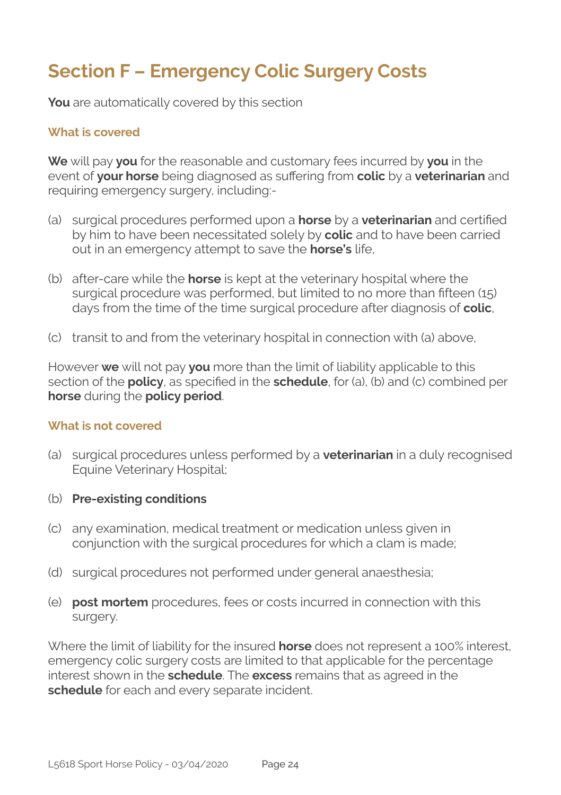### **Section F – Emergency Colic Surgery Costs**

**You** are automatically covered by this section

#### **What is covered**

**We** will pay **you** for the reasonable and customary fees incurred by **you** in the event of **your horse** being diagnosed as suffering from **colic** by a **veterinarian** and requiring emergency surgery, including:-

- (a) surgical procedures performed upon a **horse** by a **veterinarian** and certified by him to have been necessitated solely by **colic** and to have been carried out in an emergency attempt to save the **horse's** life,
- (b) after-care while the **horse** is kept at the veterinary hospital where the surgical procedure was performed, but limited to no more than fifteen (15) days from the time of the time surgical procedure after diagnosis of **colic**,
- (c) transit to and from the veterinary hospital in connection with (a) above,

However **we** will not pay **you** more than the limit of liability applicable to this section of the **policy**, as specified in the **schedule**, for (a), (b) and (c) combined per **horse** during the **policy period**.

#### **What is not covered**

- (a) surgical procedures unless performed by a **veterinarian** in a duly recognised Equine Veterinary Hospital;
- (b) **Pre-existing conditions**
- (c) any examination, medical treatment or medication unless given in conjunction with the surgical procedures for which a clam is made;
- (d) surgical procedures not performed under general anaesthesia;
- (e) **post mortem** procedures, fees or costs incurred in connection with this surgery.

Where the limit of liability for the insured **horse** does not represent a 100% interest, emergency colic surgery costs are limited to that applicable for the percentage interest shown in the **schedule**. The **excess** remains that as agreed in the **schedule** for each and every separate incident.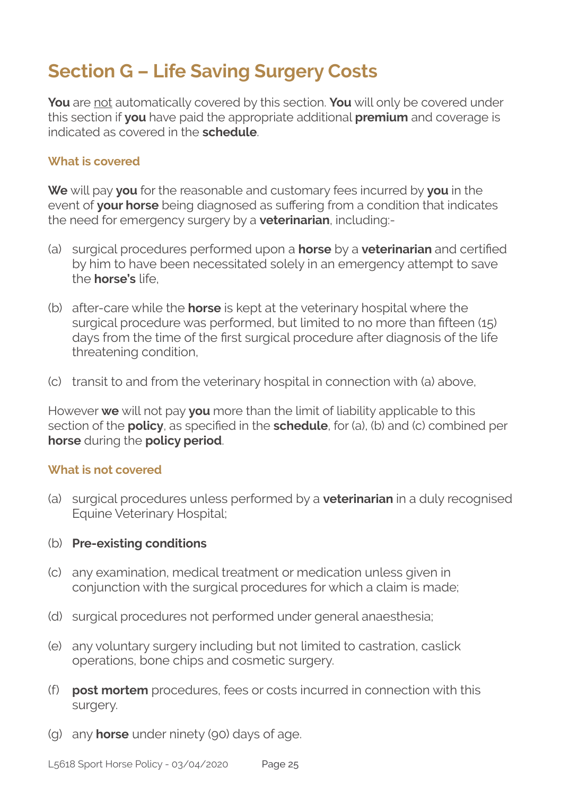### **Section G – Life Saving Surgery Costs**

**You** are not automatically covered by this section. **You** will only be covered under this section if **you** have paid the appropriate additional **premium** and coverage is indicated as covered in the **schedule**.

#### **What is covered**

**We** will pay **you** for the reasonable and customary fees incurred by **you** in the event of **your horse** being diagnosed as suffering from a condition that indicates the need for emergency surgery by a **veterinarian**, including:-

- (a) surgical procedures performed upon a **horse** by a **veterinarian** and certified by him to have been necessitated solely in an emergency attempt to save the **horse's** life,
- (b) after-care while the **horse** is kept at the veterinary hospital where the surgical procedure was performed, but limited to no more than fifteen (15) days from the time of the first surgical procedure after diagnosis of the life threatening condition,
- (c) transit to and from the veterinary hospital in connection with (a) above,

However **we** will not pay **you** more than the limit of liability applicable to this section of the **policy**, as specified in the **schedule**, for (a), (b) and (c) combined per **horse** during the **policy period**.

#### **What is not covered**

(a) surgical procedures unless performed by a **veterinarian** in a duly recognised Equine Veterinary Hospital;

#### (b) **Pre-existing conditions**

- (c) any examination, medical treatment or medication unless given in conjunction with the surgical procedures for which a claim is made;
- (d) surgical procedures not performed under general anaesthesia;
- (e) any voluntary surgery including but not limited to castration, caslick operations, bone chips and cosmetic surgery.
- (f) **post mortem** procedures, fees or costs incurred in connection with this surgery.
- (g) any **horse** under ninety (90) days of age.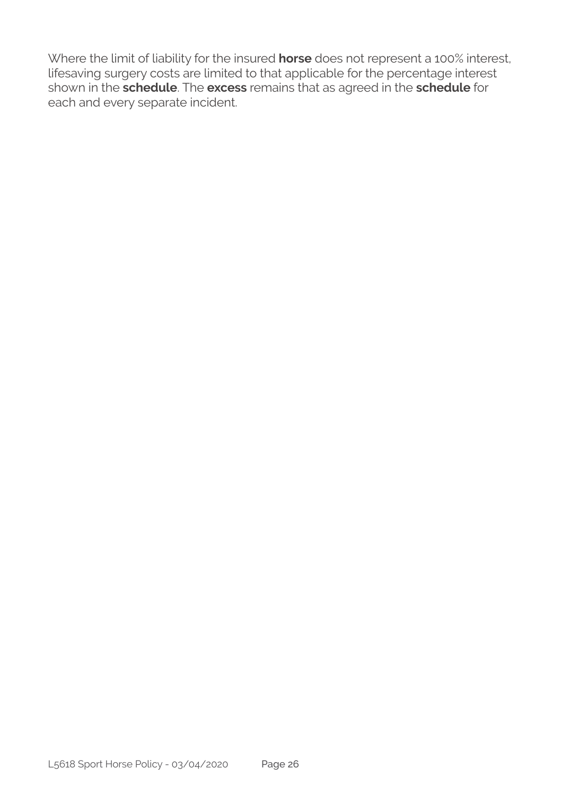Where the limit of liability for the insured **horse** does not represent a 100% interest, lifesaving surgery costs are limited to that applicable for the percentage interest shown in the **schedule**. The **excess** remains that as agreed in the **schedule** for each and every separate incident.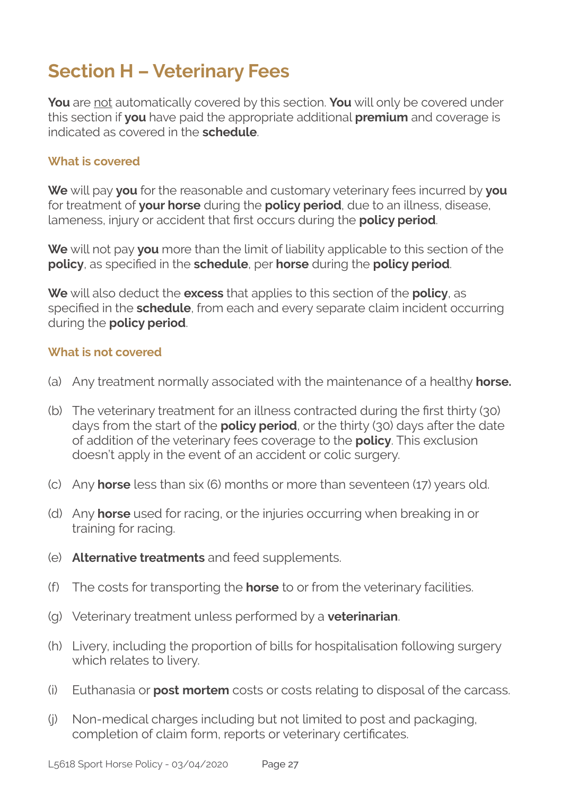### **Section H – Veterinary Fees**

**You** are not automatically covered by this section. **You** will only be covered under this section if **you** have paid the appropriate additional **premium** and coverage is indicated as covered in the **schedule**.

#### **What is covered**

**We** will pay **you** for the reasonable and customary veterinary fees incurred by **you**  for treatment of **your horse** during the **policy period**, due to an illness, disease, lameness, injury or accident that first occurs during the **policy period**.

**We** will not pay **you** more than the limit of liability applicable to this section of the **policy**, as specified in the **schedule**, per **horse** during the **policy period**.

**We** will also deduct the **excess** that applies to this section of the **policy**, as specified in the **schedule**, from each and every separate claim incident occurring during the **policy period**.

#### **What is not covered**

- (a) Any treatment normally associated with the maintenance of a healthy **horse.**
- (b) The veterinary treatment for an illness contracted during the first thirty (30) days from the start of the **policy period**, or the thirty (30) days after the date of addition of the veterinary fees coverage to the **policy**. This exclusion doesn't apply in the event of an accident or colic surgery.
- (c) Any **horse** less than six (6) months or more than seventeen (17) years old.
- (d) Any **horse** used for racing, or the injuries occurring when breaking in or training for racing.
- (e) **Alternative treatments** and feed supplements.
- (f) The costs for transporting the **horse** to or from the veterinary facilities.
- (g) Veterinary treatment unless performed by a **veterinarian**.
- (h) Livery, including the proportion of bills for hospitalisation following surgery which relates to livery.
- (i) Euthanasia or **post mortem** costs or costs relating to disposal of the carcass.
- (j) Non-medical charges including but not limited to post and packaging, completion of claim form, reports or veterinary certificates.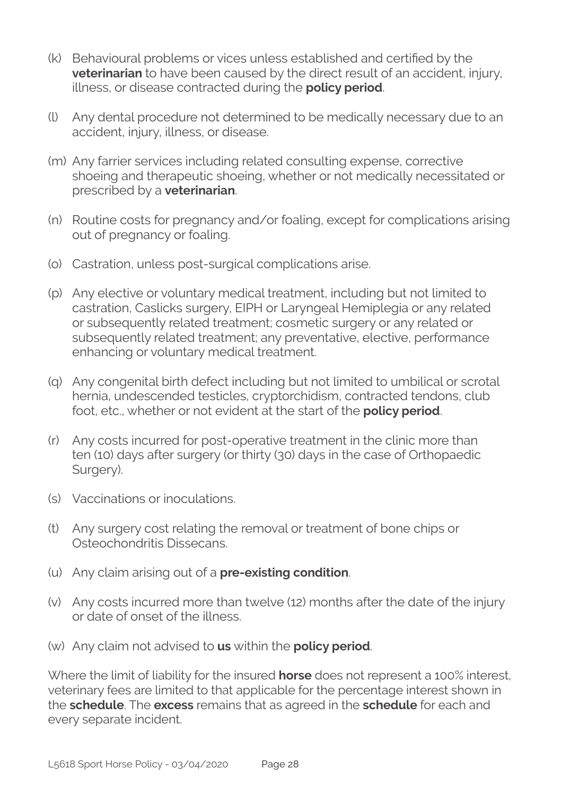- (k) Behavioural problems or vices unless established and certified by the **veterinarian** to have been caused by the direct result of an accident, injury, illness, or disease contracted during the **policy period**.
- (l) Any dental procedure not determined to be medically necessary due to an accident, injury, illness, or disease.
- (m) Any farrier services including related consulting expense, corrective shoeing and therapeutic shoeing, whether or not medically necessitated or prescribed by a **veterinarian**.
- (n) Routine costs for pregnancy and/or foaling, except for complications arising out of pregnancy or foaling.
- (o) Castration, unless post-surgical complications arise.
- (p) Any elective or voluntary medical treatment, including but not limited to castration, Caslicks surgery, EIPH or Laryngeal Hemiplegia or any related or subsequently related treatment; cosmetic surgery or any related or subsequently related treatment; any preventative, elective, performance enhancing or voluntary medical treatment.
- (q) Any congenital birth defect including but not limited to umbilical or scrotal hernia, undescended testicles, cryptorchidism, contracted tendons, club foot, etc., whether or not evident at the start of the **policy period**.
- (r) Any costs incurred for post-operative treatment in the clinic more than ten (10) days after surgery (or thirty (30) days in the case of Orthopaedic Surgery).
- (s) Vaccinations or inoculations.
- (t) Any surgery cost relating the removal or treatment of bone chips or Osteochondritis Dissecans.
- (u) Any claim arising out of a **pre-existing condition**.
- (v) Any costs incurred more than twelve (12) months after the date of the injury or date of onset of the illness.
- (w) Any claim not advised to **us** within the **policy period**.

Where the limit of liability for the insured **horse** does not represent a 100% interest, veterinary fees are limited to that applicable for the percentage interest shown in the **schedule**. The **excess** remains that as agreed in the **schedule** for each and every separate incident.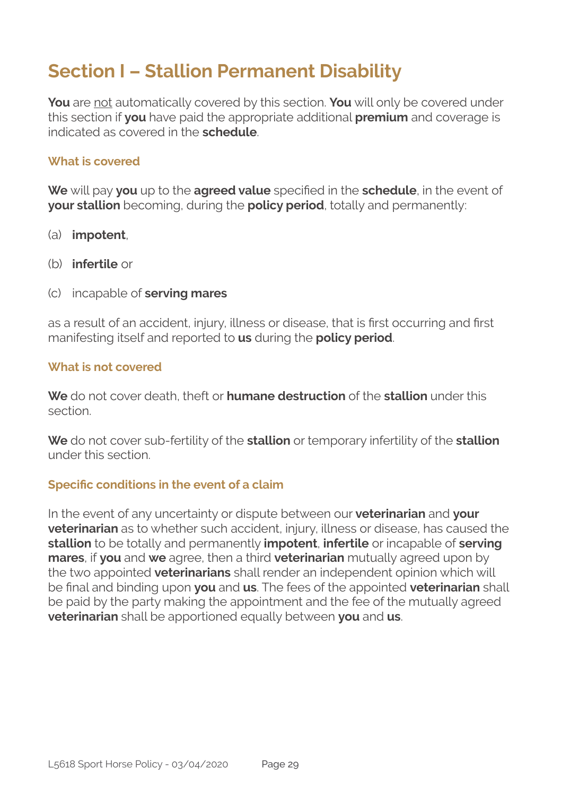### **Section I – Stallion Permanent Disability**

**You** are not automatically covered by this section. **You** will only be covered under this section if **you** have paid the appropriate additional **premium** and coverage is indicated as covered in the **schedule**.

#### **What is covered**

**We** will pay **you** up to the **agreed value** specified in the **schedule**, in the event of **your stallion** becoming, during the **policy period**, totally and permanently:

- (a) **impotent**,
- (b) **infertile** or
- (c) incapable of **serving mares**

as a result of an accident, injury, illness or disease, that is first occurring and first manifesting itself and reported to **us** during the **policy period**.

#### **What is not covered**

**We** do not cover death, theft or **humane destruction** of the **stallion** under this section.

**We** do not cover sub-fertility of the **stallion** or temporary infertility of the **stallion**  under this section.

#### **Specific conditions in the event of a claim**

In the event of any uncertainty or dispute between our **veterinarian** and **your veterinarian** as to whether such accident, injury, illness or disease, has caused the **stallion** to be totally and permanently **impotent**, **infertile** or incapable of **serving mares**, if **you** and **we** agree, then a third **veterinarian** mutually agreed upon by the two appointed **veterinarians** shall render an independent opinion which will be final and binding upon **you** and **us**. The fees of the appointed **veterinarian** shall be paid by the party making the appointment and the fee of the mutually agreed **veterinarian** shall be apportioned equally between **you** and **us**.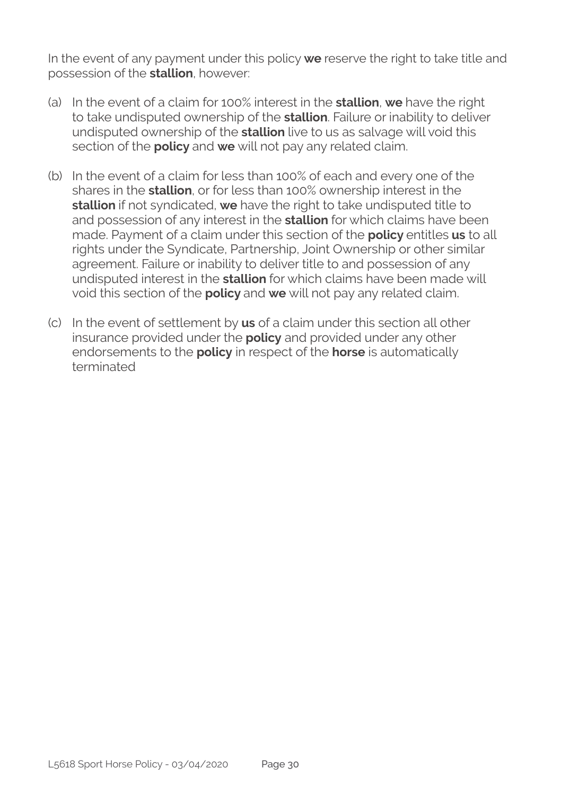In the event of any payment under this policy **we** reserve the right to take title and possession of the **stallion**, however:

- (a) In the event of a claim for 100% interest in the **stallion**, **we** have the right to take undisputed ownership of the **stallion**. Failure or inability to deliver undisputed ownership of the **stallion** live to us as salvage will void this section of the **policy** and **we** will not pay any related claim.
- (b) In the event of a claim for less than 100% of each and every one of the shares in the **stallion**, or for less than 100% ownership interest in the **stallion** if not syndicated, **we** have the right to take undisputed title to and possession of any interest in the **stallion** for which claims have been made. Payment of a claim under this section of the **policy** entitles **us** to all rights under the Syndicate, Partnership, Joint Ownership or other similar agreement. Failure or inability to deliver title to and possession of any undisputed interest in the **stallion** for which claims have been made will void this section of the **policy** and **we** will not pay any related claim.
- (c) In the event of settlement by **us** of a claim under this section all other insurance provided under the **policy** and provided under any other endorsements to the **policy** in respect of the **horse** is automatically terminated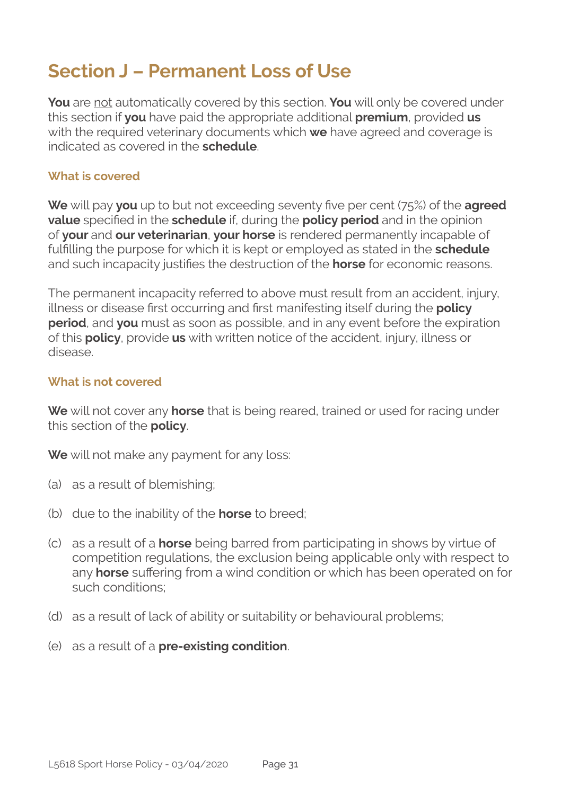### **Section J – Permanent Loss of Use**

**You** are not automatically covered by this section. **You** will only be covered under this section if **you** have paid the appropriate additional **premium**, provided **us** with the required veterinary documents which **we** have agreed and coverage is indicated as covered in the **schedule**.

#### **What is covered**

**We** will pay **you** up to but not exceeding seventy five per cent (75%) of the **agreed value** specified in the **schedule** if, during the **policy period** and in the opinion of **your** and **our veterinarian**, **your horse** is rendered permanently incapable of fulfilling the purpose for which it is kept or employed as stated in the **schedule**  and such incapacity justifies the destruction of the **horse** for economic reasons.

The permanent incapacity referred to above must result from an accident, injury, illness or disease first occurring and first manifesting itself during the **policy period**, and **you** must as soon as possible, and in any event before the expiration of this **policy**, provide **us** with written notice of the accident, injury, illness or disease.

#### **What is not covered**

**We** will not cover any **horse** that is being reared, trained or used for racing under this section of the **policy**.

**We** will not make any payment for any loss:

- (a) as a result of blemishing;
- (b) due to the inability of the **horse** to breed;
- (c) as a result of a **horse** being barred from participating in shows by virtue of competition regulations, the exclusion being applicable only with respect to any **horse** suffering from a wind condition or which has been operated on for such conditions;
- (d) as a result of lack of ability or suitability or behavioural problems;
- (e) as a result of a **pre-existing condition**.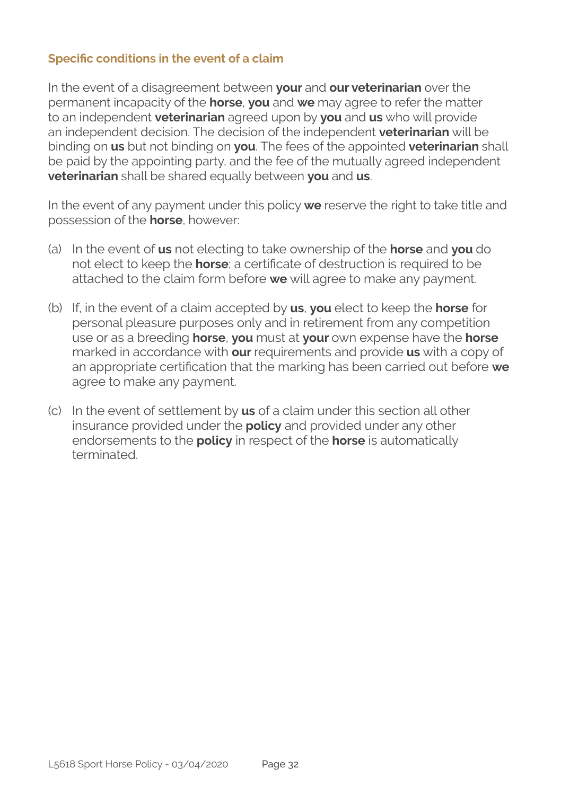#### **Specific conditions in the event of a claim**

In the event of a disagreement between **your** and **our veterinarian** over the permanent incapacity of the **horse**, **you** and **we** may agree to refer the matter to an independent **veterinarian** agreed upon by **you** and **us** who will provide an independent decision. The decision of the independent **veterinarian** will be binding on **us** but not binding on **you**. The fees of the appointed **veterinarian** shall be paid by the appointing party, and the fee of the mutually agreed independent **veterinarian** shall be shared equally between **you** and **us**.

In the event of any payment under this policy **we** reserve the right to take title and possession of the **horse**, however:

- (a) In the event of **us** not electing to take ownership of the **horse** and **you** do not elect to keep the **horse**; a certificate of destruction is required to be attached to the claim form before **we** will agree to make any payment.
- (b) If, in the event of a claim accepted by **us**, **you** elect to keep the **horse** for personal pleasure purposes only and in retirement from any competition use or as a breeding **horse**, **you** must at **your** own expense have the **horse** marked in accordance with **our** requirements and provide **us** with a copy of an appropriate certification that the marking has been carried out before **we**  agree to make any payment.
- (c) In the event of settlement by **us** of a claim under this section all other insurance provided under the **policy** and provided under any other endorsements to the **policy** in respect of the **horse** is automatically terminated.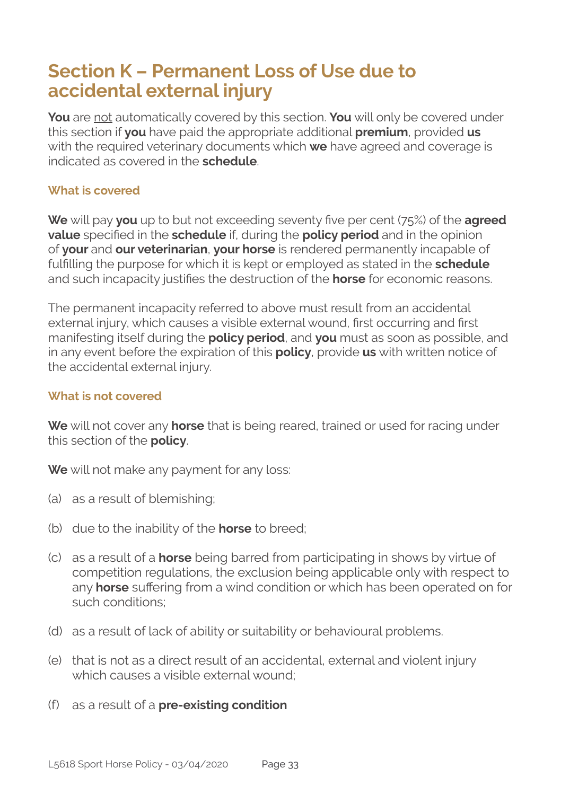### **Section K – Permanent Loss of Use due to accidental external injury**

**You** are not automatically covered by this section. **You** will only be covered under this section if **you** have paid the appropriate additional **premium**, provided **us** with the required veterinary documents which **we** have agreed and coverage is indicated as covered in the **schedule**.

#### **What is covered**

**We** will pay **you** up to but not exceeding seventy five per cent (75%) of the **agreed value** specified in the **schedule** if, during the **policy period** and in the opinion of **your** and **our veterinarian**, **your horse** is rendered permanently incapable of fulfilling the purpose for which it is kept or employed as stated in the **schedule**  and such incapacity justifies the destruction of the **horse** for economic reasons.

The permanent incapacity referred to above must result from an accidental external injury, which causes a visible external wound, first occurring and first manifesting itself during the **policy period**, and **you** must as soon as possible, and in any event before the expiration of this **policy**, provide **us** with written notice of the accidental external injury.

#### **What is not covered**

**We** will not cover any **horse** that is being reared, trained or used for racing under this section of the **policy**.

**We** will not make any payment for any loss:

- (a) as a result of blemishing;
- (b) due to the inability of the **horse** to breed;
- (c) as a result of a **horse** being barred from participating in shows by virtue of competition regulations, the exclusion being applicable only with respect to any **horse** suffering from a wind condition or which has been operated on for such conditions;
- (d) as a result of lack of ability or suitability or behavioural problems.
- (e) that is not as a direct result of an accidental, external and violent injury which causes a visible external wound;
- (f) as a result of a **pre-existing condition**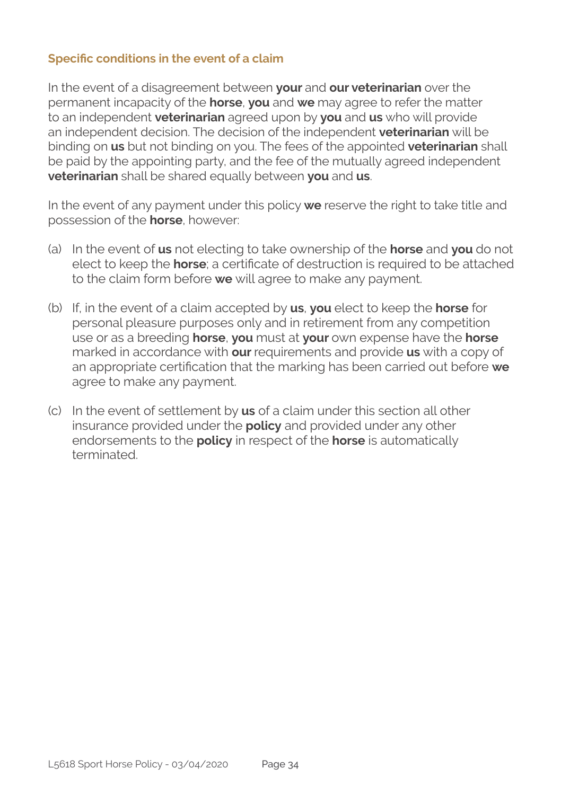#### **Specific conditions in the event of a claim**

In the event of a disagreement between **your** and **our veterinarian** over the permanent incapacity of the **horse**, **you** and **we** may agree to refer the matter to an independent **veterinarian** agreed upon by **you** and **us** who will provide an independent decision. The decision of the independent **veterinarian** will be binding on **us** but not binding on you. The fees of the appointed **veterinarian** shall be paid by the appointing party, and the fee of the mutually agreed independent **veterinarian** shall be shared equally between **you** and **us**.

In the event of any payment under this policy **we** reserve the right to take title and possession of the **horse**, however:

- (a) In the event of **us** not electing to take ownership of the **horse** and **you** do not elect to keep the **horse**; a certificate of destruction is required to be attached to the claim form before **we** will agree to make any payment.
- (b) If, in the event of a claim accepted by **us**, **you** elect to keep the **horse** for personal pleasure purposes only and in retirement from any competition use or as a breeding **horse**, **you** must at **your** own expense have the **horse** marked in accordance with **our** requirements and provide **us** with a copy of an appropriate certification that the marking has been carried out before **we**  agree to make any payment.
- (c) In the event of settlement by **us** of a claim under this section all other insurance provided under the **policy** and provided under any other endorsements to the **policy** in respect of the **horse** is automatically terminated.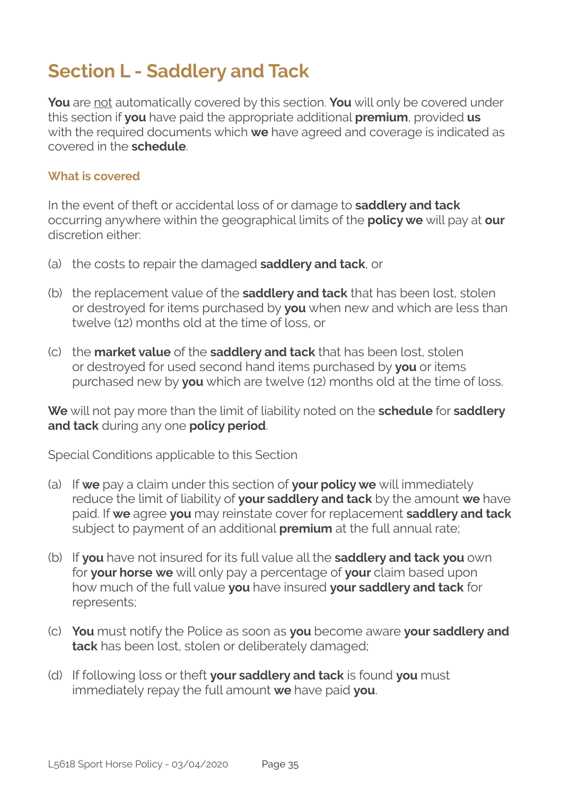### **Section L - Saddlery and Tack**

**You** are not automatically covered by this section. **You** will only be covered under this section if **you** have paid the appropriate additional **premium**, provided **us** with the required documents which **we** have agreed and coverage is indicated as covered in the **schedule**.

#### **What is covered**

In the event of theft or accidental loss of or damage to **saddlery and tack** occurring anywhere within the geographical limits of the **policy we** will pay at **our**  discretion either:

- (a) the costs to repair the damaged **saddlery and tack**, or
- (b) the replacement value of the **saddlery and tack** that has been lost, stolen or destroyed for items purchased by **you** when new and which are less than twelve (12) months old at the time of loss, or
- (c) the **market value** of the **saddlery and tack** that has been lost, stolen or destroyed for used second hand items purchased by **you** or items purchased new by **you** which are twelve (12) months old at the time of loss.

**We** will not pay more than the limit of liability noted on the **schedule** for **saddlery and tack** during any one **policy period**.

Special Conditions applicable to this Section

- (a) If **we** pay a claim under this section of **your policy we** will immediately reduce the limit of liability of **your saddlery and tack** by the amount **we** have paid. If **we** agree **you** may reinstate cover for replacement **saddlery and tack** subject to payment of an additional **premium** at the full annual rate;
- (b) If **you** have not insured for its full value all the **saddlery and tack you** own for **your horse we** will only pay a percentage of **your** claim based upon how much of the full value **you** have insured **your saddlery and tack** for represents;
- (c) **You** must notify the Police as soon as **you** become aware **your saddlery and tack** has been lost, stolen or deliberately damaged;
- (d) If following loss or theft **your saddlery and tack** is found **you** must immediately repay the full amount **we** have paid **you**.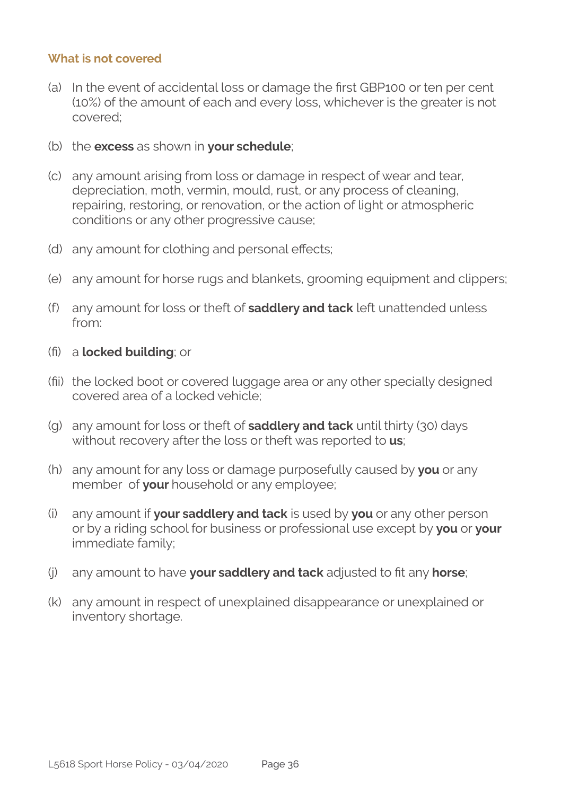#### **What is not covered**

- (a) In the event of accidental loss or damage the first GBP100 or ten per cent (10%) of the amount of each and every loss, whichever is the greater is not covered;
- (b) the **excess** as shown in **your schedule**;
- (c) any amount arising from loss or damage in respect of wear and tear, depreciation, moth, vermin, mould, rust, or any process of cleaning, repairing, restoring, or renovation, or the action of light or atmospheric conditions or any other progressive cause;
- (d) any amount for clothing and personal effects;
- (e) any amount for horse rugs and blankets, grooming equipment and clippers;
- (f) any amount for loss or theft of **saddlery and tack** left unattended unless from:
- fi) a **locked building**; or
- fii) the locked boot or covered luggage area or any other specially designed covered area of a locked vehicle;
- (g) any amount for loss or theft of **saddlery and tack** until thirty (30) days without recovery after the loss or theft was reported to **us**;
- (h) any amount for any loss or damage purposefully caused by **you** or any member of **your** household or any employee;
- (i) any amount if **your saddlery and tack** is used by **you** or any other person or by a riding school for business or professional use except by **you** or **your**  immediate family;
- (j) any amount to have **your saddlery and tack** adjusted to fit any **horse**;
- (k) any amount in respect of unexplained disappearance or unexplained or inventory shortage.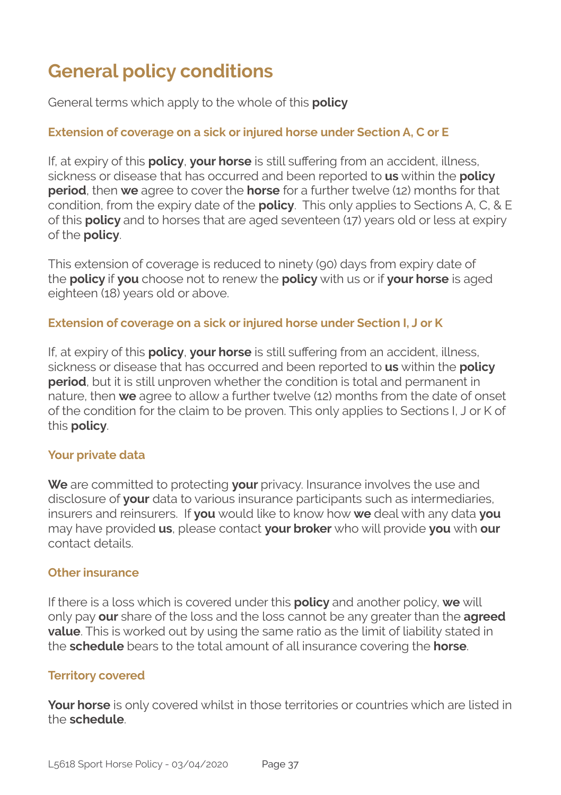### **General policy conditions**

General terms which apply to the whole of this **policy**

#### **Extension of coverage on a sick or injured horse under Section A, C or E**

If, at expiry of this **policy**, **your horse** is still suffering from an accident, illness, sickness or disease that has occurred and been reported to **us** within the **policy period**, then **we** agree to cover the **horse** for a further twelve (12) months for that condition, from the expiry date of the **policy**. This only applies to Sections A, C, & E of this **policy** and to horses that are aged seventeen (17) years old or less at expiry of the **policy**.

This extension of coverage is reduced to ninety (90) days from expiry date of the **policy** if **you** choose not to renew the **policy** with us or if **your horse** is aged eighteen (18) years old or above.

#### **Extension of coverage on a sick or injured horse under Section I, J or K**

If, at expiry of this **policy**, **your horse** is still suffering from an accident, illness, sickness or disease that has occurred and been reported to **us** within the **policy period**, but it is still unproven whether the condition is total and permanent in nature, then **we** agree to allow a further twelve (12) months from the date of onset of the condition for the claim to be proven. This only applies to Sections I, J or K of this **policy**.

#### **Your private data**

**We** are committed to protecting **your** privacy. Insurance involves the use and disclosure of **your** data to various insurance participants such as intermediaries, insurers and reinsurers. If **you** would like to know how **we** deal with any data **you**  may have provided **us**, please contact **your broker** who will provide **you** with **our**  contact details.

#### **Other insurance**

If there is a loss which is covered under this **policy** and another policy, **we** will only pay **our** share of the loss and the loss cannot be any greater than the **agreed value**. This is worked out by using the same ratio as the limit of liability stated in the **schedule** bears to the total amount of all insurance covering the **horse**.

#### **Territory covered**

**Your horse** is only covered whilst in those territories or countries which are listed in the **schedule**.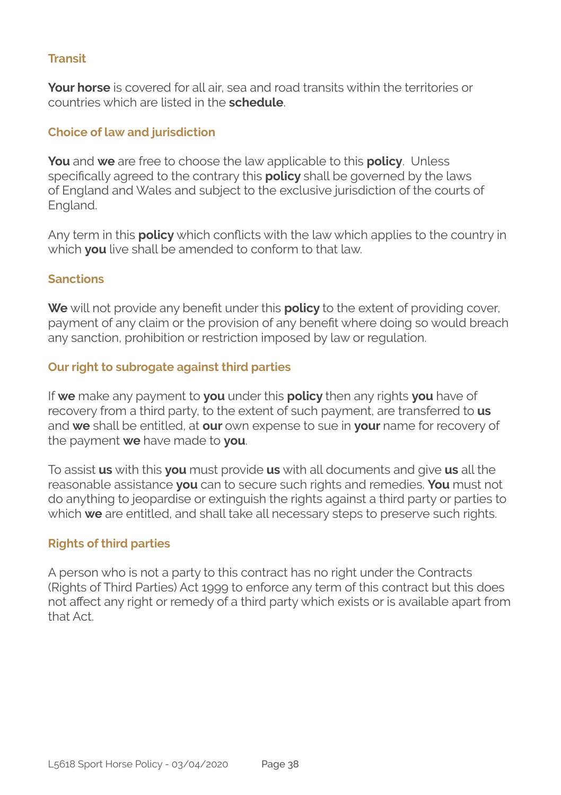#### **Transit**

**Your horse** is covered for all air, sea and road transits within the territories or countries which are listed in the **schedule**.

#### **Choice of law and jurisdiction**

**You** and **we** are free to choose the law applicable to this **policy**. Unless specifically agreed to the contrary this **policy** shall be governed by the laws of England and Wales and subject to the exclusive jurisdiction of the courts of England.

Any term in this **policy** which conflicts with the law which applies to the country in which **you** live shall be amended to conform to that law.

#### **Sanctions**

**We** will not provide any benefit under this **policy** to the extent of providing cover, payment of any claim or the provision of any benefit where doing so would breach any sanction, prohibition or restriction imposed by law or regulation.

#### **Our right to subrogate against third parties**

If **we** make any payment to **you** under this **policy** then any rights **you** have of recovery from a third party, to the extent of such payment, are transferred to **us** and **we** shall be entitled, at **our** own expense to sue in **your** name for recovery of the payment **we** have made to **you**.

To assist **us** with this **you** must provide **us** with all documents and give **us** all the reasonable assistance **you** can to secure such rights and remedies. **You** must not do anything to jeopardise or extinguish the rights against a third party or parties to which **we** are entitled, and shall take all necessary steps to preserve such rights.

#### **Rights of third parties**

A person who is not a party to this contract has no right under the Contracts (Rights of Third Parties) Act 1999 to enforce any term of this contract but this does not affect any right or remedy of a third party which exists or is available apart from that Act.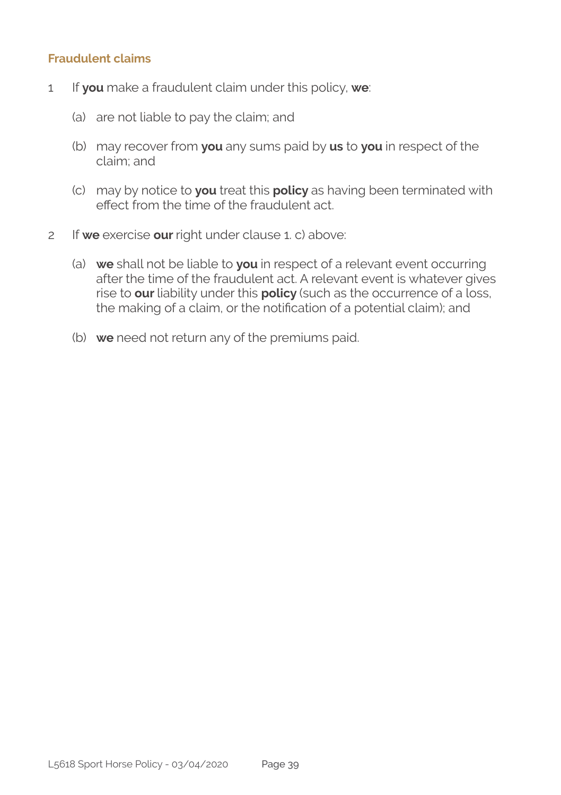#### **Fraudulent claims**

- 1 If **you** make a fraudulent claim under this policy, **we**:
	- (a) are not liable to pay the claim; and
	- (b) may recover from **you** any sums paid by **us** to **you** in respect of the claim; and
	- (c) may by notice to **you** treat this **policy** as having been terminated with effect from the time of the fraudulent act.
- 2 If **we** exercise **our** right under clause 1. c) above:
	- (a) **we** shall not be liable to **you** in respect of a relevant event occurring after the time of the fraudulent act. A relevant event is whatever gives rise to **our** liability under this **policy** (such as the occurrence of a loss, the making of a claim, or the notification of a potential claim); and
	- (b) **we** need not return any of the premiums paid.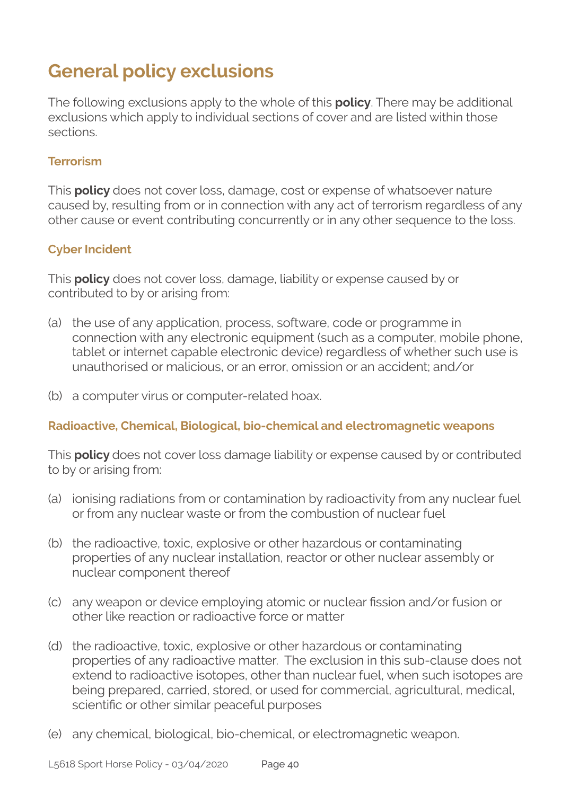### **General policy exclusions**

The following exclusions apply to the whole of this **policy**. There may be additional exclusions which apply to individual sections of cover and are listed within those sections.

#### **Terrorism**

This **policy** does not cover loss, damage, cost or expense of whatsoever nature caused by, resulting from or in connection with any act of terrorism regardless of any other cause or event contributing concurrently or in any other sequence to the loss.

#### **Cyber Incident**

This **policy** does not cover loss, damage, liability or expense caused by or contributed to by or arising from:

- (a) the use of any application, process, software, code or programme in connection with any electronic equipment (such as a computer, mobile phone, tablet or internet capable electronic device) regardless of whether such use is unauthorised or malicious, or an error, omission or an accident; and/or
- (b) a computer virus or computer-related hoax.

#### **Radioactive, Chemical, Biological, bio-chemical and electromagnetic weapons**

This **policy** does not cover loss damage liability or expense caused by or contributed to by or arising from:

- (a) ionising radiations from or contamination by radioactivity from any nuclear fuel or from any nuclear waste or from the combustion of nuclear fuel
- (b) the radioactive, toxic, explosive or other hazardous or contaminating properties of any nuclear installation, reactor or other nuclear assembly or nuclear component thereof
- (c) any weapon or device employing atomic or nuclear fission and/or fusion or other like reaction or radioactive force or matter
- (d) the radioactive, toxic, explosive or other hazardous or contaminating properties of any radioactive matter. The exclusion in this sub-clause does not extend to radioactive isotopes, other than nuclear fuel, when such isotopes are being prepared, carried, stored, or used for commercial, agricultural, medical, scientific or other similar peaceful purposes
- (e) any chemical, biological, bio-chemical, or electromagnetic weapon.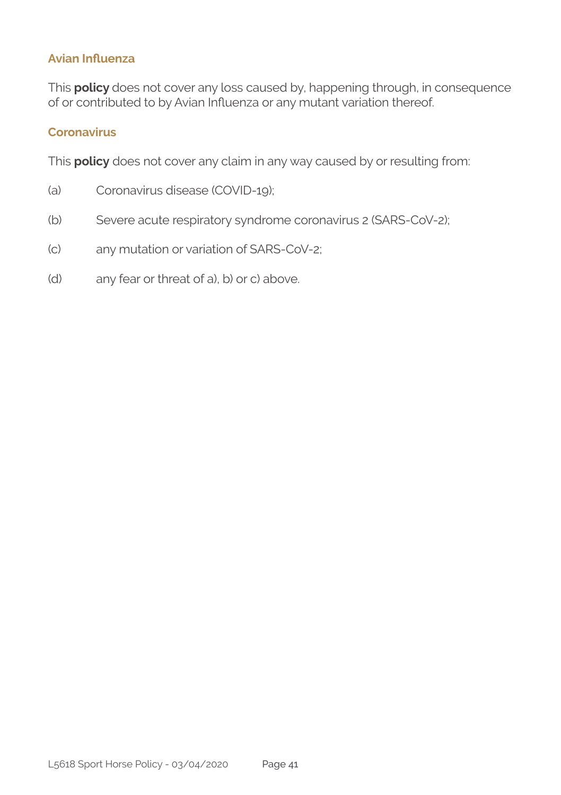#### **Avian Influenza**

This **policy** does not cover any loss caused by, happening through, in consequence of or contributed to by Avian Influenza or any mutant variation thereof.

#### **Coronavirus**

This **policy** does not cover any claim in any way caused by or resulting from:

- (a) Coronavirus disease (COVID-19);
- (b) Severe acute respiratory syndrome coronavirus 2 (SARS-CoV-2);
- (c) any mutation or variation of SARS-CoV-2;
- (d) any fear or threat of a), b) or c) above.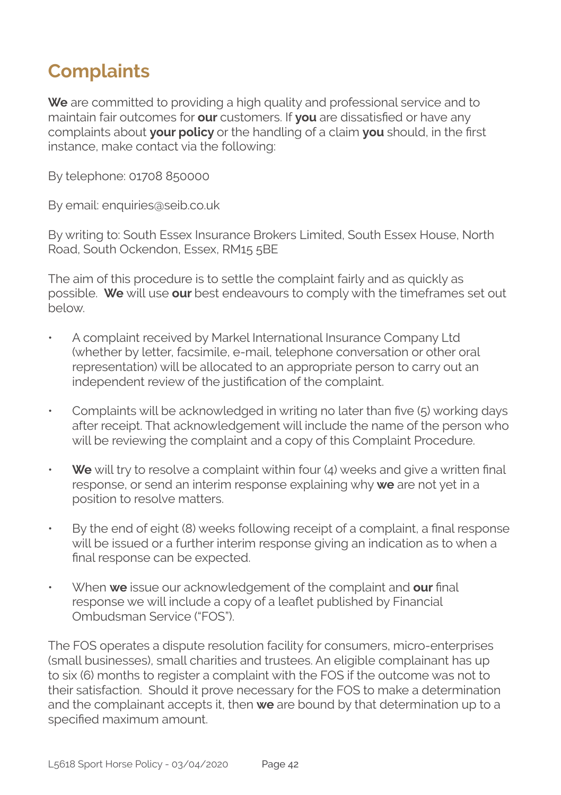### **Complaints**

**We** are committed to providing a high quality and professional service and to maintain fair outcomes for **our** customers. If **you** are dissatisfied or have any complaints about **your policy** or the handling of a claim **you** should, in the first instance, make contact via the following:

By telephone: 01708 850000

By email: enquiries@seib.co.uk

By writing to: South Essex Insurance Brokers Limited, South Essex House, North Road, South Ockendon, Essex, RM15 5BE

The aim of this procedure is to settle the complaint fairly and as quickly as possible. **We** will use **our** best endeavours to comply with the timeframes set out below.

- A complaint received by Markel International Insurance Company Ltd (whether by letter, facsimile, e-mail, telephone conversation or other oral representation) will be allocated to an appropriate person to carry out an independent review of the justification of the complaint.
- Complaints will be acknowledged in writing no later than five (5) working days after receipt. That acknowledgement will include the name of the person who will be reviewing the complaint and a copy of this Complaint Procedure.
- **We** will try to resolve a complaint within four (4) weeks and give a written final response, or send an interim response explaining why **we** are not yet in a position to resolve matters.
- By the end of eight (8) weeks following receipt of a complaint, a final response will be issued or a further interim response giving an indication as to when a final response can be expected.
- When **we** issue our acknowledgement of the complaint and **our** final response we will include a copy of a leaflet published by Financial Ombudsman Service ("FOS").

The FOS operates a dispute resolution facility for consumers, micro-enterprises (small businesses), small charities and trustees. An eligible complainant has up to six (6) months to register a complaint with the FOS if the outcome was not to their satisfaction. Should it prove necessary for the FOS to make a determination and the complainant accepts it, then **we** are bound by that determination up to a specified maximum amount.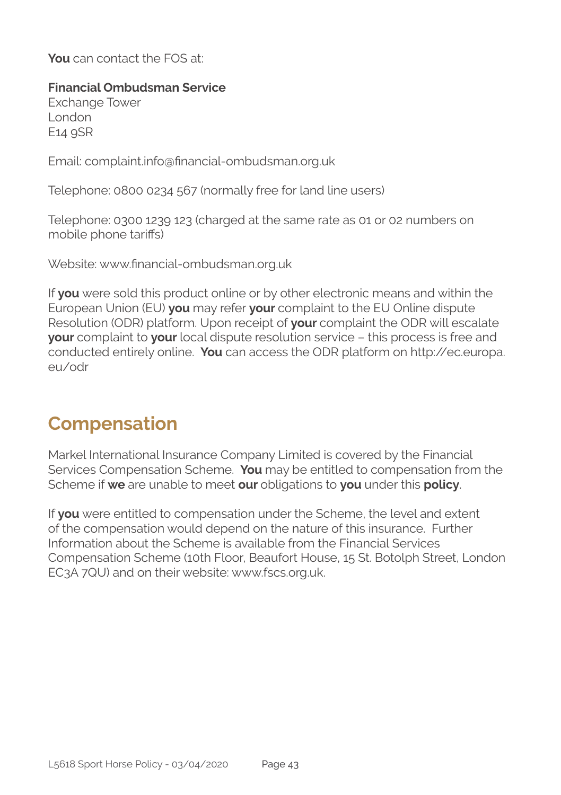**You** can contact the FOS at:

#### **Financial Ombudsman Service**

Exchange Tower London E14 9SR

Email: complaint.info@financial-ombudsman.org.uk

Telephone: 0800 0234 567 (normally free for land line users)

Telephone: 0300 1239 123 (charged at the same rate as 01 or 02 numbers on mobile phone tariffs)

Website: www.financial-ombudsman.org.uk

If **you** were sold this product online or by other electronic means and within the European Union (EU) **you** may refer **your** complaint to the EU Online dispute Resolution (ODR) platform. Upon receipt of **your** complaint the ODR will escalate **your** complaint to **your** local dispute resolution service – this process is free and conducted entirely online. **You** can access the ODR platform on http://ec.europa. eu/odr

### **Compensation**

Markel International Insurance Company Limited is covered by the Financial Services Compensation Scheme. **You** may be entitled to compensation from the Scheme if **we** are unable to meet **our** obligations to **you** under this **policy**.

If **you** were entitled to compensation under the Scheme, the level and extent of the compensation would depend on the nature of this insurance. Further Information about the Scheme is available from the Financial Services Compensation Scheme (10th Floor, Beaufort House, 15 St. Botolph Street, London EC3A 7QU) and on their website: www.fscs.org.uk.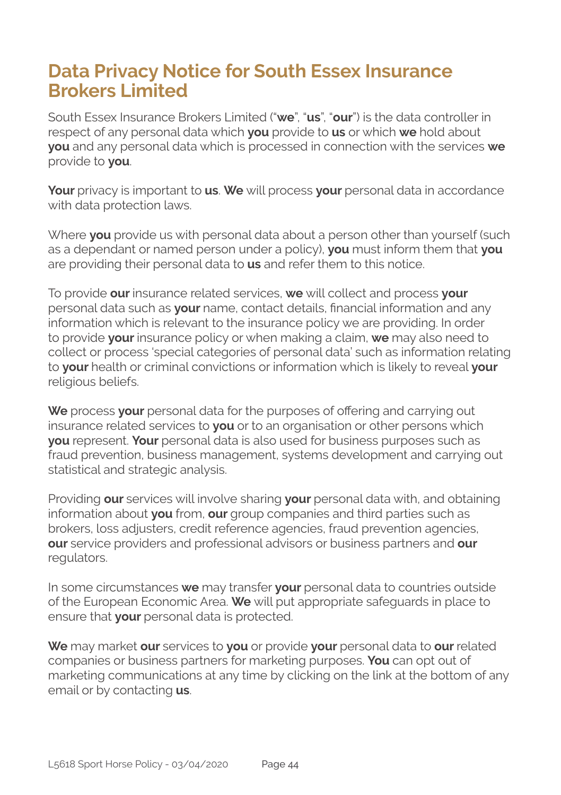### **Data Privacy Notice for South Essex Insurance Brokers Limited**

South Essex Insurance Brokers Limited ("**we**", "**us**", "**our**") is the data controller in respect of any personal data which **you** provide to **us** or which **we** hold about **you** and any personal data which is processed in connection with the services **we**  provide to **you**.

**Your** privacy is important to **us**. **We** will process **your** personal data in accordance with data protection laws.

Where **you** provide us with personal data about a person other than yourself (such as a dependant or named person under a policy), **you** must inform them that **you**  are providing their personal data to **us** and refer them to this notice.

To provide **our** insurance related services, **we** will collect and process **your**  personal data such as **your** name, contact details, financial information and any information which is relevant to the insurance policy we are providing. In order to provide **your** insurance policy or when making a claim, **we** may also need to collect or process 'special categories of personal data' such as information relating to **your** health or criminal convictions or information which is likely to reveal **your**  religious beliefs.

We process your personal data for the purposes of offering and carrying out insurance related services to **you** or to an organisation or other persons which **you** represent. **Your** personal data is also used for business purposes such as fraud prevention, business management, systems development and carrying out statistical and strategic analysis.

Providing **our** services will involve sharing **your** personal data with, and obtaining information about **you** from, **our** group companies and third parties such as brokers, loss adjusters, credit reference agencies, fraud prevention agencies, **our** service providers and professional advisors or business partners and **our**  regulators.

In some circumstances **we** may transfer **your** personal data to countries outside of the European Economic Area. **We** will put appropriate safeguards in place to ensure that **your** personal data is protected.

**We** may market **our** services to **you** or provide **your** personal data to **our** related companies or business partners for marketing purposes. **You** can opt out of marketing communications at any time by clicking on the link at the bottom of any email or by contacting **us**.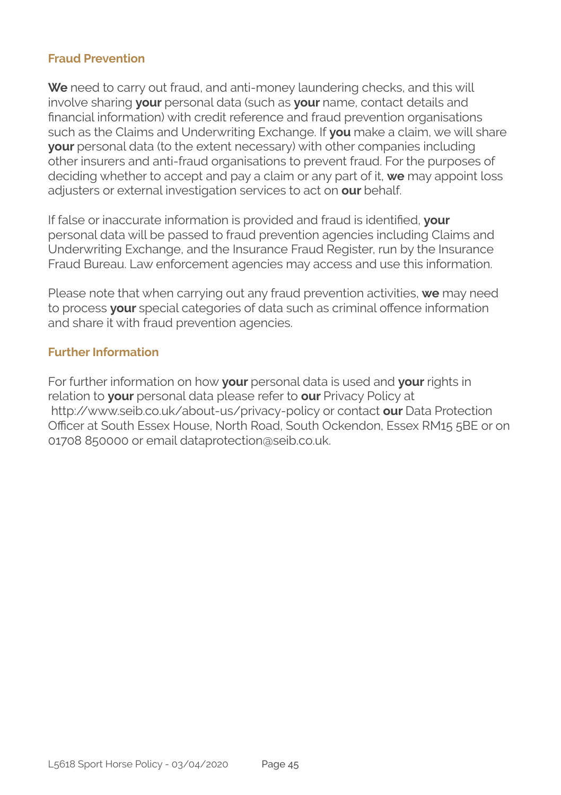#### **Fraud Prevention**

**We** need to carry out fraud, and anti-money laundering checks, and this will involve sharing **your** personal data (such as **your** name, contact details and financial information) with credit reference and fraud prevention organisations such as the Claims and Underwriting Exchange. If **you** make a claim, we will share **your** personal data (to the extent necessary) with other companies including other insurers and anti-fraud organisations to prevent fraud. For the purposes of deciding whether to accept and pay a claim or any part of it, **we** may appoint loss adjusters or external investigation services to act on **our** behalf.

If false or inaccurate information is provided and fraud is identified, **your**  personal data will be passed to fraud prevention agencies including Claims and Underwriting Exchange, and the Insurance Fraud Register, run by the Insurance Fraud Bureau. Law enforcement agencies may access and use this information.

Please note that when carrying out any fraud prevention activities, **we** may need to process **your** special categories of data such as criminal offence information and share it with fraud prevention agencies.

#### **Further Information**

For further information on how **your** personal data is used and **your** rights in relation to **your** personal data please refer to **our** Privacy Policy at http://www.seib.co.uk/about-us/privacy-policy or contact **our** Data Protection Officer at South Essex House, North Road, South Ockendon, Essex RM15 5BE or on 01708 850000 or email dataprotection@seib.co.uk.